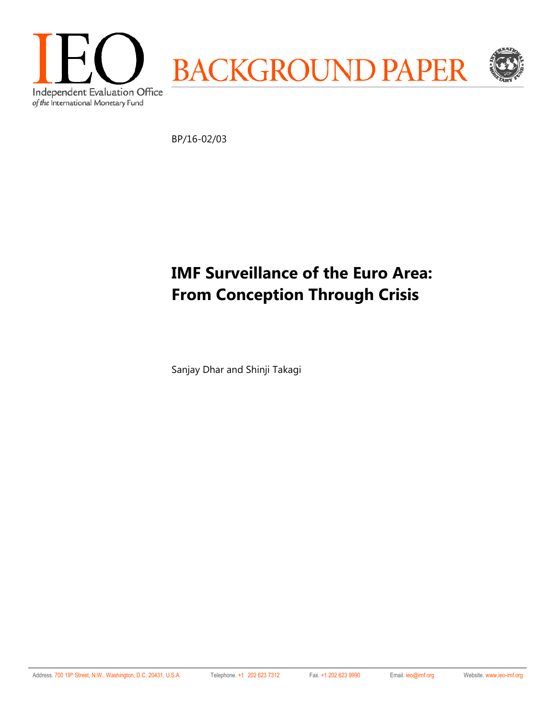

BP/16-02/03

# **IMF Surveillance of the Euro Area: From Conception Through Crisis**

Sanjay Dhar and Shinji Takagi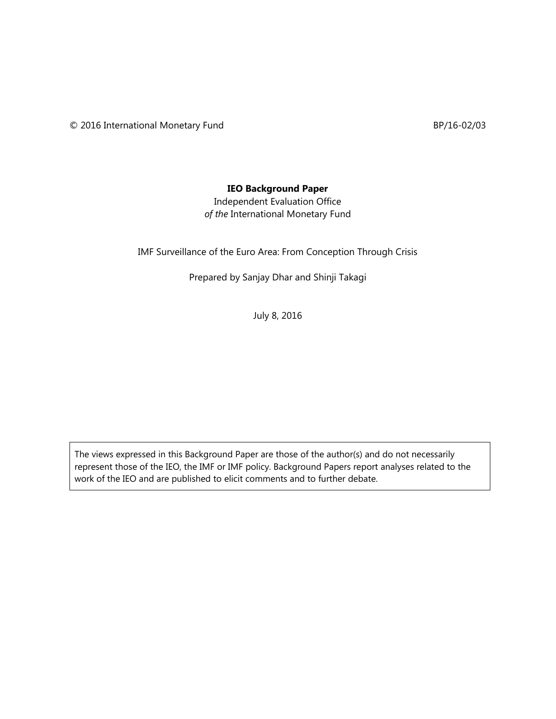© 2016 International Monetary Fund BP/16-02/03

#### **IEO Background Paper**

Independent Evaluation Office *of the* International Monetary Fund

IMF Surveillance of the Euro Area: From Conception Through Crisis

Prepared by Sanjay Dhar and Shinji Takagi

July 8, 2016

The views expressed in this Background Paper are those of the author(s) and do not necessarily represent those of the IEO, the IMF or IMF policy. Background Papers report analyses related to the work of the IEO and are published to elicit comments and to further debate.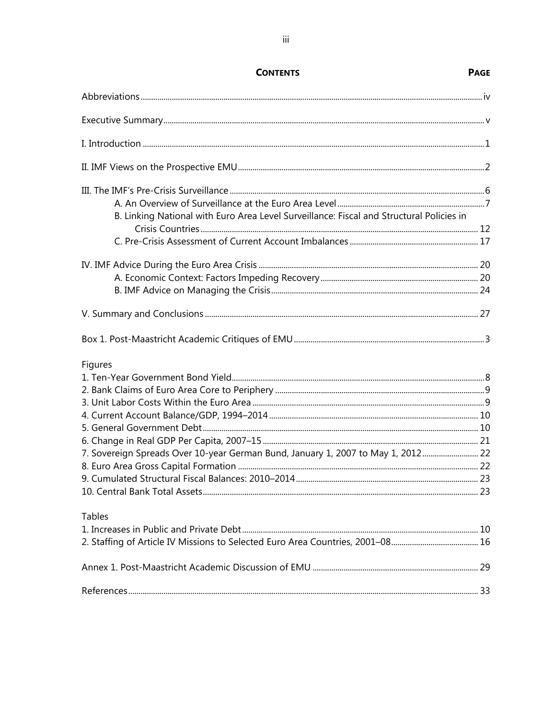| B. Linking National with Euro Area Level Surveillance: Fiscal and Structural Policies in |  |
|------------------------------------------------------------------------------------------|--|
|                                                                                          |  |
|                                                                                          |  |
|                                                                                          |  |
|                                                                                          |  |
|                                                                                          |  |
|                                                                                          |  |
|                                                                                          |  |
| Figures                                                                                  |  |
|                                                                                          |  |
|                                                                                          |  |
|                                                                                          |  |
|                                                                                          |  |
|                                                                                          |  |
|                                                                                          |  |
| 7. Sovereign Spreads Over 10-year German Bund, January 1, 2007 to May 1, 2012 22         |  |
|                                                                                          |  |
|                                                                                          |  |
|                                                                                          |  |
| <b>Tables</b>                                                                            |  |
|                                                                                          |  |
|                                                                                          |  |
|                                                                                          |  |
|                                                                                          |  |

#### **CONTENTS**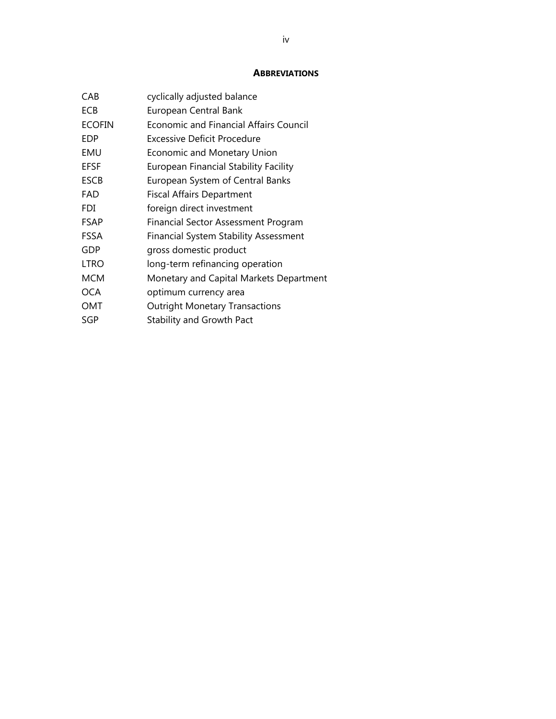#### **ABBREVIATIONS**

| CAB           | cyclically adjusted balance                  |
|---------------|----------------------------------------------|
| ECB           | European Central Bank                        |
| <b>ECOFIN</b> | Economic and Financial Affairs Council       |
| EDP           | Excessive Deficit Procedure                  |
| EMU           | Economic and Monetary Union                  |
| <b>EFSF</b>   | <b>European Financial Stability Facility</b> |
| <b>ESCB</b>   | European System of Central Banks             |
| FAD           | <b>Fiscal Affairs Department</b>             |
| <b>FDI</b>    | foreign direct investment                    |
| <b>FSAP</b>   | <b>Financial Sector Assessment Program</b>   |
| <b>FSSA</b>   | <b>Financial System Stability Assessment</b> |
| GDP           | gross domestic product                       |
| LTRO          | long-term refinancing operation              |
| <b>MCM</b>    | Monetary and Capital Markets Department      |
| <b>OCA</b>    | optimum currency area                        |
| OMT           | <b>Outright Monetary Transactions</b>        |
| SGP           | <b>Stability and Growth Pact</b>             |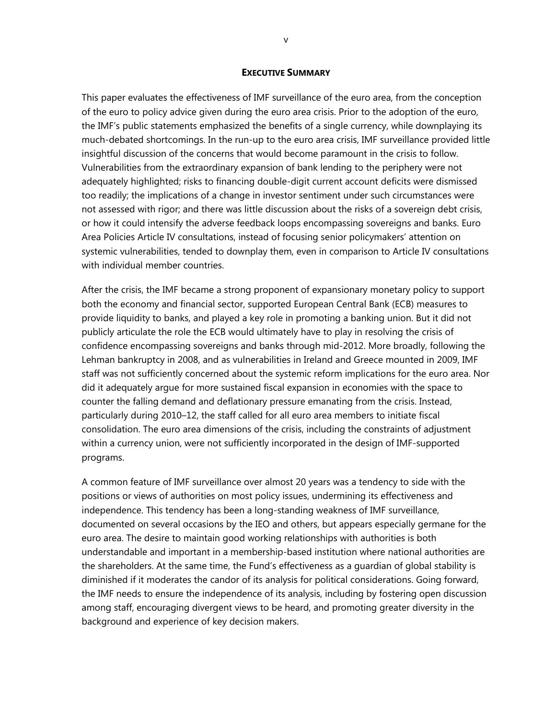#### **EXECUTIVE SUMMARY**

This paper evaluates the effectiveness of IMF surveillance of the euro area, from the conception of the euro to policy advice given during the euro area crisis. Prior to the adoption of the euro, the IMF's public statements emphasized the benefits of a single currency, while downplaying its much-debated shortcomings. In the run-up to the euro area crisis, IMF surveillance provided little insightful discussion of the concerns that would become paramount in the crisis to follow. Vulnerabilities from the extraordinary expansion of bank lending to the periphery were not adequately highlighted; risks to financing double-digit current account deficits were dismissed too readily; the implications of a change in investor sentiment under such circumstances were not assessed with rigor; and there was little discussion about the risks of a sovereign debt crisis, or how it could intensify the adverse feedback loops encompassing sovereigns and banks. Euro Area Policies Article IV consultations, instead of focusing senior policymakers' attention on systemic vulnerabilities, tended to downplay them, even in comparison to Article IV consultations with individual member countries.

After the crisis, the IMF became a strong proponent of expansionary monetary policy to support both the economy and financial sector, supported European Central Bank (ECB) measures to provide liquidity to banks, and played a key role in promoting a banking union. But it did not publicly articulate the role the ECB would ultimately have to play in resolving the crisis of confidence encompassing sovereigns and banks through mid-2012. More broadly, following the Lehman bankruptcy in 2008, and as vulnerabilities in Ireland and Greece mounted in 2009, IMF staff was not sufficiently concerned about the systemic reform implications for the euro area. Nor did it adequately argue for more sustained fiscal expansion in economies with the space to counter the falling demand and deflationary pressure emanating from the crisis. Instead, particularly during 2010–12, the staff called for all euro area members to initiate fiscal consolidation. The euro area dimensions of the crisis, including the constraints of adjustment within a currency union, were not sufficiently incorporated in the design of IMF-supported programs.

A common feature of IMF surveillance over almost 20 years was a tendency to side with the positions or views of authorities on most policy issues, undermining its effectiveness and independence. This tendency has been a long-standing weakness of IMF surveillance, documented on several occasions by the IEO and others, but appears especially germane for the euro area. The desire to maintain good working relationships with authorities is both understandable and important in a membership-based institution where national authorities are the shareholders. At the same time, the Fund's effectiveness as a guardian of global stability is diminished if it moderates the candor of its analysis for political considerations. Going forward, the IMF needs to ensure the independence of its analysis, including by fostering open discussion among staff, encouraging divergent views to be heard, and promoting greater diversity in the background and experience of key decision makers.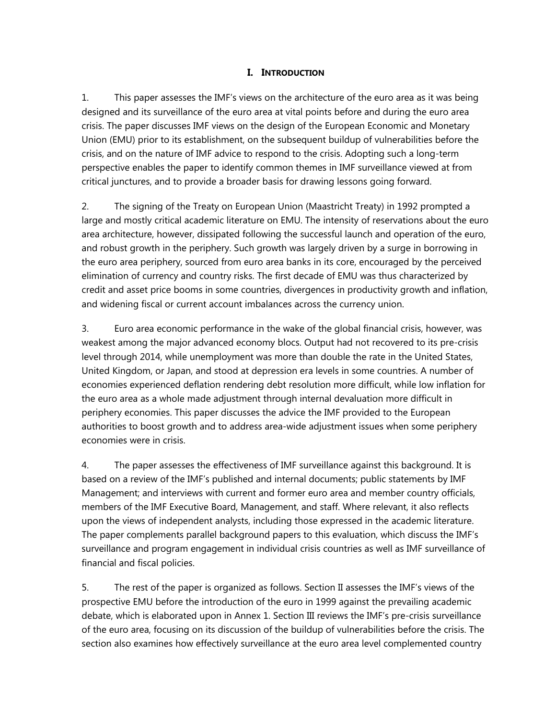### **I. INTRODUCTION**

1. This paper assesses the IMF's views on the architecture of the euro area as it was being designed and its surveillance of the euro area at vital points before and during the euro area crisis. The paper discusses IMF views on the design of the European Economic and Monetary Union (EMU) prior to its establishment, on the subsequent buildup of vulnerabilities before the crisis, and on the nature of IMF advice to respond to the crisis. Adopting such a long-term perspective enables the paper to identify common themes in IMF surveillance viewed at from critical junctures, and to provide a broader basis for drawing lessons going forward.

2. The signing of the Treaty on European Union (Maastricht Treaty) in 1992 prompted a large and mostly critical academic literature on EMU. The intensity of reservations about the euro area architecture, however, dissipated following the successful launch and operation of the euro, and robust growth in the periphery. Such growth was largely driven by a surge in borrowing in the euro area periphery, sourced from euro area banks in its core, encouraged by the perceived elimination of currency and country risks. The first decade of EMU was thus characterized by credit and asset price booms in some countries, divergences in productivity growth and inflation, and widening fiscal or current account imbalances across the currency union.

3. Euro area economic performance in the wake of the global financial crisis, however, was weakest among the major advanced economy blocs. Output had not recovered to its pre-crisis level through 2014, while unemployment was more than double the rate in the United States, United Kingdom, or Japan, and stood at depression era levels in some countries. A number of economies experienced deflation rendering debt resolution more difficult, while low inflation for the euro area as a whole made adjustment through internal devaluation more difficult in periphery economies. This paper discusses the advice the IMF provided to the European authorities to boost growth and to address area-wide adjustment issues when some periphery economies were in crisis.

4. The paper assesses the effectiveness of IMF surveillance against this background. It is based on a review of the IMF's published and internal documents; public statements by IMF Management; and interviews with current and former euro area and member country officials, members of the IMF Executive Board, Management, and staff. Where relevant, it also reflects upon the views of independent analysts, including those expressed in the academic literature. The paper complements parallel background papers to this evaluation, which discuss the IMF's surveillance and program engagement in individual crisis countries as well as IMF surveillance of financial and fiscal policies.

5. The rest of the paper is organized as follows. Section II assesses the IMF's views of the prospective EMU before the introduction of the euro in 1999 against the prevailing academic debate, which is elaborated upon in Annex 1. Section III reviews the IMF's pre-crisis surveillance of the euro area, focusing on its discussion of the buildup of vulnerabilities before the crisis. The section also examines how effectively surveillance at the euro area level complemented country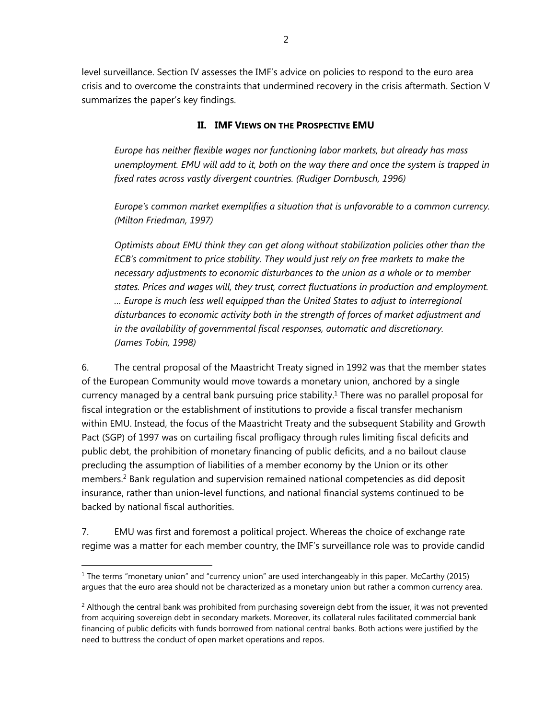level surveillance. Section IV assesses the IMF's advice on policies to respond to the euro area crisis and to overcome the constraints that undermined recovery in the crisis aftermath. Section V summarizes the paper's key findings.

### **II. IMF VIEWS ON THE PROSPECTIVE EMU**

*Europe has neither flexible wages nor functioning labor markets, but already has mass unemployment. EMU will add to it, both on the way there and once the system is trapped in fixed rates across vastly divergent countries. (Rudiger Dornbusch, 1996)* 

*Europe's common market exemplifies a situation that is unfavorable to a common currency. (Milton Friedman, 1997)* 

*Optimists about EMU think they can get along without stabilization policies other than the ECB's commitment to price stability. They would just rely on free markets to make the necessary adjustments to economic disturbances to the union as a whole or to member states. Prices and wages will, they trust, correct fluctuations in production and employment. … Europe is much less well equipped than the United States to adjust to interregional disturbances to economic activity both in the strength of forces of market adjustment and in the availability of governmental fiscal responses, automatic and discretionary. (James Tobin, 1998)* 

6. The central proposal of the Maastricht Treaty signed in 1992 was that the member states of the European Community would move towards a monetary union, anchored by a single currency managed by a central bank pursuing price stability.<sup>1</sup> There was no parallel proposal for fiscal integration or the establishment of institutions to provide a fiscal transfer mechanism within EMU. Instead, the focus of the Maastricht Treaty and the subsequent Stability and Growth Pact (SGP) of 1997 was on curtailing fiscal profligacy through rules limiting fiscal deficits and public debt, the prohibition of monetary financing of public deficits, and a no bailout clause precluding the assumption of liabilities of a member economy by the Union or its other members.<sup>2</sup> Bank regulation and supervision remained national competencies as did deposit insurance, rather than union-level functions, and national financial systems continued to be backed by national fiscal authorities.

7. EMU was first and foremost a political project. Whereas the choice of exchange rate regime was a matter for each member country, the IMF's surveillance role was to provide candid

 $1$  The terms "monetary union" and "currency union" are used interchangeably in this paper. McCarthy (2015) argues that the euro area should not be characterized as a monetary union but rather a common currency area.

<sup>&</sup>lt;sup>2</sup> Although the central bank was prohibited from purchasing sovereign debt from the issuer, it was not prevented from acquiring sovereign debt in secondary markets. Moreover, its collateral rules facilitated commercial bank financing of public deficits with funds borrowed from national central banks. Both actions were justified by the need to buttress the conduct of open market operations and repos.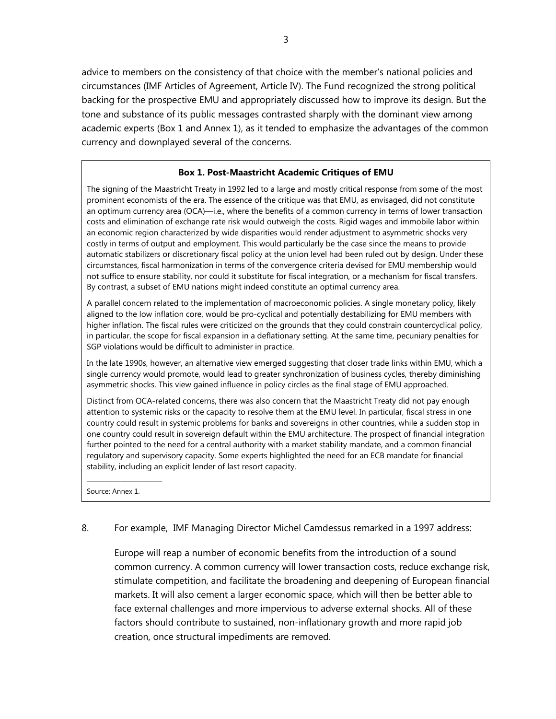advice to members on the consistency of that choice with the member's national policies and circumstances (IMF Articles of Agreement, Article IV). The Fund recognized the strong political backing for the prospective EMU and appropriately discussed how to improve its design. But the tone and substance of its public messages contrasted sharply with the dominant view among academic experts (Box 1 and Annex 1), as it tended to emphasize the advantages of the common currency and downplayed several of the concerns.

#### **Box 1. Post-Maastricht Academic Critiques of EMU**

The signing of the Maastricht Treaty in 1992 led to a large and mostly critical response from some of the most prominent economists of the era. The essence of the critique was that EMU, as envisaged, did not constitute an optimum currency area (OCA)—i.e., where the benefits of a common currency in terms of lower transaction costs and elimination of exchange rate risk would outweigh the costs. Rigid wages and immobile labor within an economic region characterized by wide disparities would render adjustment to asymmetric shocks very costly in terms of output and employment. This would particularly be the case since the means to provide automatic stabilizers or discretionary fiscal policy at the union level had been ruled out by design. Under these circumstances, fiscal harmonization in terms of the convergence criteria devised for EMU membership would not suffice to ensure stability, nor could it substitute for fiscal integration, or a mechanism for fiscal transfers. By contrast, a subset of EMU nations might indeed constitute an optimal currency area.

A parallel concern related to the implementation of macroeconomic policies. A single monetary policy, likely aligned to the low inflation core, would be pro-cyclical and potentially destabilizing for EMU members with higher inflation. The fiscal rules were criticized on the grounds that they could constrain countercyclical policy, in particular, the scope for fiscal expansion in a deflationary setting. At the same time, pecuniary penalties for SGP violations would be difficult to administer in practice.

In the late 1990s, however, an alternative view emerged suggesting that closer trade links within EMU, which a single currency would promote, would lead to greater synchronization of business cycles, thereby diminishing asymmetric shocks. This view gained influence in policy circles as the final stage of EMU approached.

Distinct from OCA-related concerns, there was also concern that the Maastricht Treaty did not pay enough attention to systemic risks or the capacity to resolve them at the EMU level. In particular, fiscal stress in one country could result in systemic problems for banks and sovereigns in other countries, while a sudden stop in one country could result in sovereign default within the EMU architecture. The prospect of financial integration further pointed to the need for a central authority with a market stability mandate, and a common financial regulatory and supervisory capacity. Some experts highlighted the need for an ECB mandate for financial stability, including an explicit lender of last resort capacity.

Source: Annex 1.

\_\_\_\_\_\_\_\_\_\_\_\_\_\_\_\_\_\_\_\_

#### 8. For example, IMF Managing Director Michel Camdessus remarked in a 1997 address:

Europe will reap a number of economic benefits from the introduction of a sound common currency. A common currency will lower transaction costs, reduce exchange risk, stimulate competition, and facilitate the broadening and deepening of European financial markets. It will also cement a larger economic space, which will then be better able to face external challenges and more impervious to adverse external shocks. All of these factors should contribute to sustained, non-inflationary growth and more rapid job creation, once structural impediments are removed.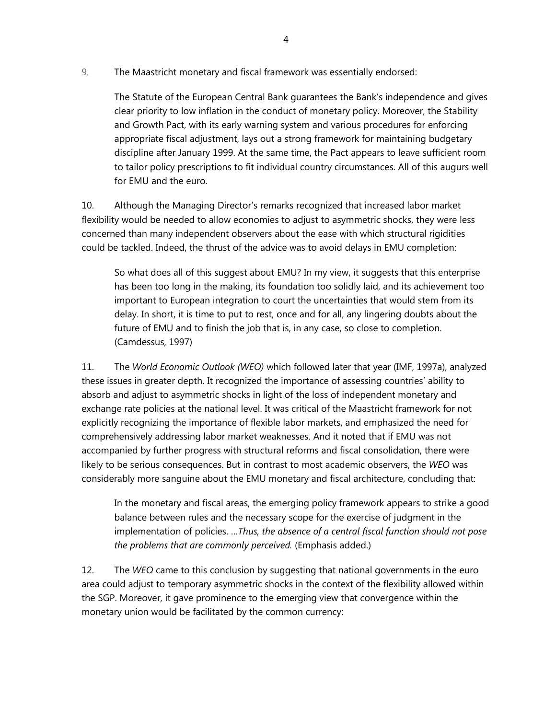9. The Maastricht monetary and fiscal framework was essentially endorsed:

The Statute of the European Central Bank guarantees the Bank's independence and gives clear priority to low inflation in the conduct of monetary policy. Moreover, the Stability and Growth Pact, with its early warning system and various procedures for enforcing appropriate fiscal adjustment, lays out a strong framework for maintaining budgetary discipline after January 1999. At the same time, the Pact appears to leave sufficient room to tailor policy prescriptions to fit individual country circumstances. All of this augurs well for EMU and the euro.

10. Although the Managing Director's remarks recognized that increased labor market flexibility would be needed to allow economies to adjust to asymmetric shocks, they were less concerned than many independent observers about the ease with which structural rigidities could be tackled. Indeed, the thrust of the advice was to avoid delays in EMU completion:

So what does all of this suggest about EMU? In my view, it suggests that this enterprise has been too long in the making, its foundation too solidly laid, and its achievement too important to European integration to court the uncertainties that would stem from its delay. In short, it is time to put to rest, once and for all, any lingering doubts about the future of EMU and to finish the job that is, in any case, so close to completion. (Camdessus, 1997)

11. The *World Economic Outlook (WEO)* which followed later that year (IMF, 1997a), analyzed these issues in greater depth. It recognized the importance of assessing countries' ability to absorb and adjust to asymmetric shocks in light of the loss of independent monetary and exchange rate policies at the national level. It was critical of the Maastricht framework for not explicitly recognizing the importance of flexible labor markets, and emphasized the need for comprehensively addressing labor market weaknesses. And it noted that if EMU was not accompanied by further progress with structural reforms and fiscal consolidation, there were likely to be serious consequences. But in contrast to most academic observers, the *WEO* was considerably more sanguine about the EMU monetary and fiscal architecture, concluding that:

In the monetary and fiscal areas, the emerging policy framework appears to strike a good balance between rules and the necessary scope for the exercise of judgment in the implementation of policies. …*Thus, the absence of a central fiscal function should not pose the problems that are commonly perceived.* (Emphasis added.)

12. The *WEO* came to this conclusion by suggesting that national governments in the euro area could adjust to temporary asymmetric shocks in the context of the flexibility allowed within the SGP. Moreover, it gave prominence to the emerging view that convergence within the monetary union would be facilitated by the common currency: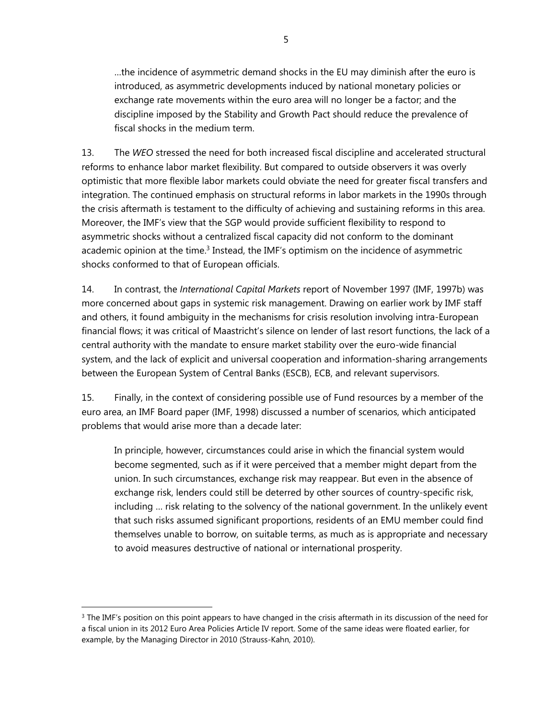…the incidence of asymmetric demand shocks in the EU may diminish after the euro is introduced, as asymmetric developments induced by national monetary policies or exchange rate movements within the euro area will no longer be a factor; and the discipline imposed by the Stability and Growth Pact should reduce the prevalence of fiscal shocks in the medium term.

13. The *WEO* stressed the need for both increased fiscal discipline and accelerated structural reforms to enhance labor market flexibility. But compared to outside observers it was overly optimistic that more flexible labor markets could obviate the need for greater fiscal transfers and integration. The continued emphasis on structural reforms in labor markets in the 1990s through the crisis aftermath is testament to the difficulty of achieving and sustaining reforms in this area. Moreover, the IMF's view that the SGP would provide sufficient flexibility to respond to asymmetric shocks without a centralized fiscal capacity did not conform to the dominant academic opinion at the time. $3$  Instead, the IMF's optimism on the incidence of asymmetric shocks conformed to that of European officials.

14. In contrast, the *International Capital Markets* report of November 1997 (IMF, 1997b) was more concerned about gaps in systemic risk management. Drawing on earlier work by IMF staff and others, it found ambiguity in the mechanisms for crisis resolution involving intra-European financial flows; it was critical of Maastricht's silence on lender of last resort functions, the lack of a central authority with the mandate to ensure market stability over the euro-wide financial system, and the lack of explicit and universal cooperation and information-sharing arrangements between the European System of Central Banks (ESCB), ECB, and relevant supervisors.

15. Finally, in the context of considering possible use of Fund resources by a member of the euro area, an IMF Board paper (IMF, 1998) discussed a number of scenarios, which anticipated problems that would arise more than a decade later:

In principle, however, circumstances could arise in which the financial system would become segmented, such as if it were perceived that a member might depart from the union. In such circumstances, exchange risk may reappear. But even in the absence of exchange risk, lenders could still be deterred by other sources of country-specific risk, including … risk relating to the solvency of the national government. In the unlikely event that such risks assumed significant proportions, residents of an EMU member could find themselves unable to borrow, on suitable terms, as much as is appropriate and necessary to avoid measures destructive of national or international prosperity.

<sup>&</sup>lt;sup>3</sup> The IMF's position on this point appears to have changed in the crisis aftermath in its discussion of the need for a fiscal union in its 2012 Euro Area Policies Article IV report. Some of the same ideas were floated earlier, for example, by the Managing Director in 2010 (Strauss-Kahn, 2010).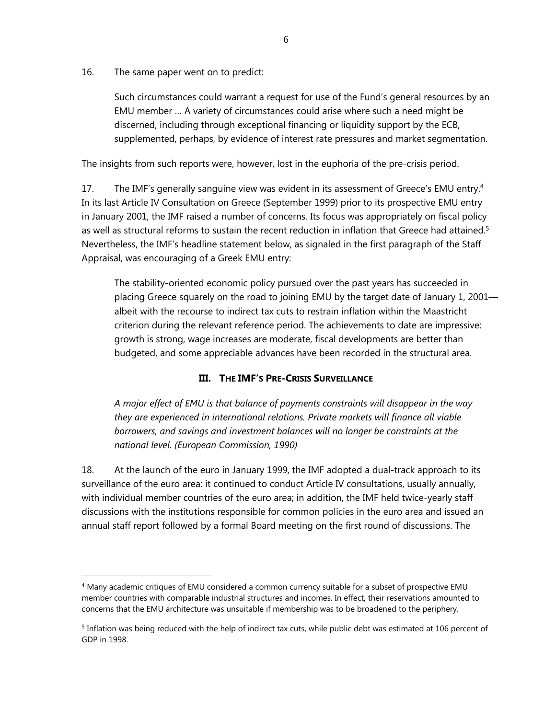16. The same paper went on to predict:

 $\overline{a}$ 

Such circumstances could warrant a request for use of the Fund's general resources by an EMU member … A variety of circumstances could arise where such a need might be discerned, including through exceptional financing or liquidity support by the ECB, supplemented, perhaps, by evidence of interest rate pressures and market segmentation.

The insights from such reports were, however, lost in the euphoria of the pre-crisis period.

17. The IMF's generally sanguine view was evident in its assessment of Greece's EMU entry.<sup>4</sup> In its last Article IV Consultation on Greece (September 1999) prior to its prospective EMU entry in January 2001, the IMF raised a number of concerns. Its focus was appropriately on fiscal policy as well as structural reforms to sustain the recent reduction in inflation that Greece had attained.<sup>5</sup> Nevertheless, the IMF's headline statement below, as signaled in the first paragraph of the Staff Appraisal, was encouraging of a Greek EMU entry:

The stability-oriented economic policy pursued over the past years has succeeded in placing Greece squarely on the road to joining EMU by the target date of January 1, 2001 albeit with the recourse to indirect tax cuts to restrain inflation within the Maastricht criterion during the relevant reference period. The achievements to date are impressive: growth is strong, wage increases are moderate, fiscal developments are better than budgeted, and some appreciable advances have been recorded in the structural area.

### **III. THE IMF'S PRE-CRISIS SURVEILLANCE**

*A major effect of EMU is that balance of payments constraints will disappear in the way they are experienced in international relations. Private markets will finance all viable borrowers, and savings and investment balances will no longer be constraints at the national level. (European Commission, 1990)* 

18. At the launch of the euro in January 1999, the IMF adopted a dual-track approach to its surveillance of the euro area: it continued to conduct Article IV consultations, usually annually, with individual member countries of the euro area; in addition, the IMF held twice-yearly staff discussions with the institutions responsible for common policies in the euro area and issued an annual staff report followed by a formal Board meeting on the first round of discussions. The

<sup>4</sup> Many academic critiques of EMU considered a common currency suitable for a subset of prospective EMU member countries with comparable industrial structures and incomes. In effect, their reservations amounted to concerns that the EMU architecture was unsuitable if membership was to be broadened to the periphery.

 $5$  Inflation was being reduced with the help of indirect tax cuts, while public debt was estimated at 106 percent of GDP in 1998.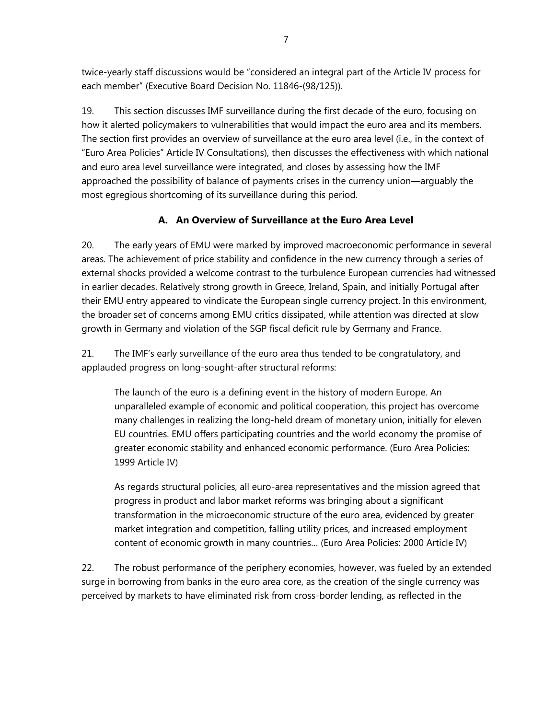twice-yearly staff discussions would be "considered an integral part of the Article IV process for each member" (Executive Board Decision No. 11846-(98/125)).

19. This section discusses IMF surveillance during the first decade of the euro, focusing on how it alerted policymakers to vulnerabilities that would impact the euro area and its members. The section first provides an overview of surveillance at the euro area level (i.e., in the context of "Euro Area Policies" Article IV Consultations), then discusses the effectiveness with which national and euro area level surveillance were integrated, and closes by assessing how the IMF approached the possibility of balance of payments crises in the currency union—arguably the most egregious shortcoming of its surveillance during this period.

### **A. An Overview of Surveillance at the Euro Area Level**

20. The early years of EMU were marked by improved macroeconomic performance in several areas. The achievement of price stability and confidence in the new currency through a series of external shocks provided a welcome contrast to the turbulence European currencies had witnessed in earlier decades. Relatively strong growth in Greece, Ireland, Spain, and initially Portugal after their EMU entry appeared to vindicate the European single currency project. In this environment, the broader set of concerns among EMU critics dissipated, while attention was directed at slow growth in Germany and violation of the SGP fiscal deficit rule by Germany and France.

21. The IMF's early surveillance of the euro area thus tended to be congratulatory, and applauded progress on long-sought-after structural reforms:

The launch of the euro is a defining event in the history of modern Europe. An unparalleled example of economic and political cooperation, this project has overcome many challenges in realizing the long-held dream of monetary union, initially for eleven EU countries. EMU offers participating countries and the world economy the promise of greater economic stability and enhanced economic performance. (Euro Area Policies: 1999 Article IV)

As regards structural policies, all euro-area representatives and the mission agreed that progress in product and labor market reforms was bringing about a significant transformation in the microeconomic structure of the euro area, evidenced by greater market integration and competition, falling utility prices, and increased employment content of economic growth in many countries… (Euro Area Policies: 2000 Article IV)

22. The robust performance of the periphery economies, however, was fueled by an extended surge in borrowing from banks in the euro area core, as the creation of the single currency was perceived by markets to have eliminated risk from cross-border lending, as reflected in the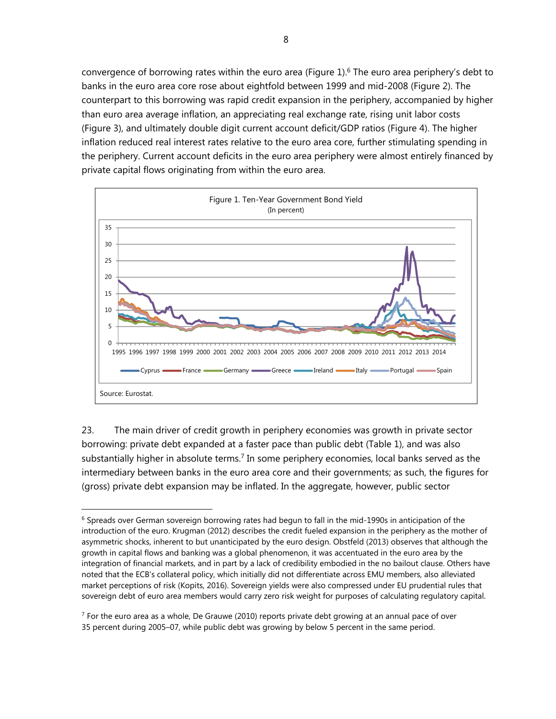convergence of borrowing rates within the euro area (Figure 1).<sup>6</sup> The euro area periphery's debt to banks in the euro area core rose about eightfold between 1999 and mid-2008 (Figure 2). The counterpart to this borrowing was rapid credit expansion in the periphery, accompanied by higher than euro area average inflation, an appreciating real exchange rate, rising unit labor costs (Figure 3), and ultimately double digit current account deficit/GDP ratios (Figure 4). The higher inflation reduced real interest rates relative to the euro area core, further stimulating spending in the periphery. Current account deficits in the euro area periphery were almost entirely financed by private capital flows originating from within the euro area.



23. The main driver of credit growth in periphery economies was growth in private sector borrowing: private debt expanded at a faster pace than public debt (Table 1), and was also substantially higher in absolute terms.<sup>7</sup> In some periphery economies, local banks served as the intermediary between banks in the euro area core and their governments; as such, the figures for (gross) private debt expansion may be inflated. In the aggregate, however, public sector

<sup>&</sup>lt;sup>6</sup> Spreads over German sovereign borrowing rates had begun to fall in the mid-1990s in anticipation of the introduction of the euro. Krugman (2012) describes the credit fueled expansion in the periphery as the mother of asymmetric shocks, inherent to but unanticipated by the euro design. Obstfeld (2013) observes that although the growth in capital flows and banking was a global phenomenon, it was accentuated in the euro area by the integration of financial markets, and in part by a lack of credibility embodied in the no bailout clause. Others have noted that the ECB's collateral policy, which initially did not differentiate across EMU members, also alleviated market perceptions of risk (Kopits, 2016). Sovereign yields were also compressed under EU prudential rules that sovereign debt of euro area members would carry zero risk weight for purposes of calculating regulatory capital.

 $7$  For the euro area as a whole, De Grauwe (2010) reports private debt growing at an annual pace of over 35 percent during 2005–07, while public debt was growing by below 5 percent in the same period.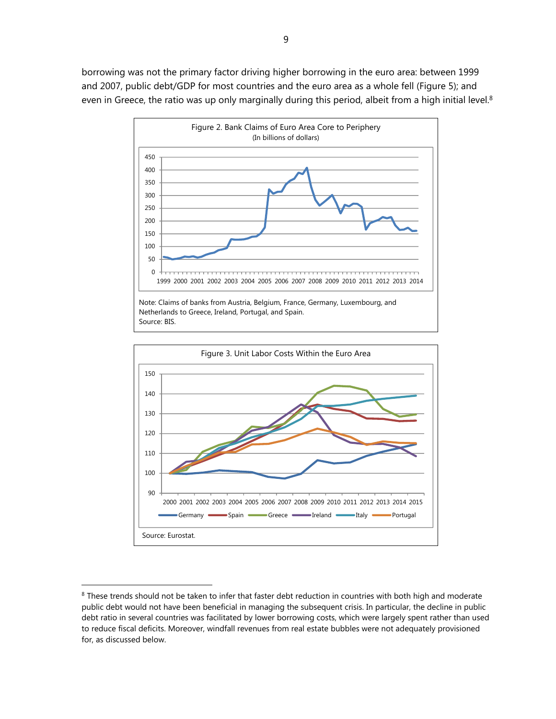borrowing was not the primary factor driving higher borrowing in the euro area: between 1999 and 2007, public debt/GDP for most countries and the euro area as a whole fell (Figure 5); and even in Greece, the ratio was up only marginally during this period, albeit from a high initial level.<sup>8</sup>





<sup>&</sup>lt;sup>8</sup> These trends should not be taken to infer that faster debt reduction in countries with both high and moderate public debt would not have been beneficial in managing the subsequent crisis. In particular, the decline in public debt ratio in several countries was facilitated by lower borrowing costs, which were largely spent rather than used to reduce fiscal deficits. Moreover, windfall revenues from real estate bubbles were not adequately provisioned for, as discussed below.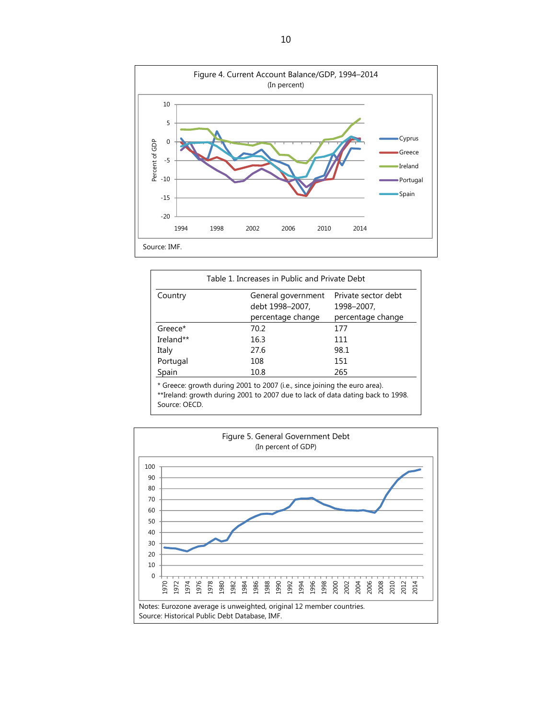

| Table 1. Increases in Public and Private Debt |                                                                           |                     |  |  |  |  |
|-----------------------------------------------|---------------------------------------------------------------------------|---------------------|--|--|--|--|
| Country                                       | General government                                                        | Private sector debt |  |  |  |  |
|                                               | debt 1998-2007,                                                           | 1998-2007,          |  |  |  |  |
|                                               | percentage change                                                         | percentage change   |  |  |  |  |
| Greece*                                       | 70.2                                                                      | 177                 |  |  |  |  |
| Ireland**                                     | 16.3                                                                      | 111                 |  |  |  |  |
| Italy                                         | 27.6                                                                      | 98.1                |  |  |  |  |
| Portugal                                      | 108                                                                       | 151                 |  |  |  |  |
| Spain                                         | 10.8                                                                      | 265                 |  |  |  |  |
|                                               | * Greece: growth during 2001 to 2007 (i.e., since joining the euro area). |                     |  |  |  |  |

\*\*Ireland: growth during 2001 to 2007 due to lack of data dating back to 1998. Source: OECD.

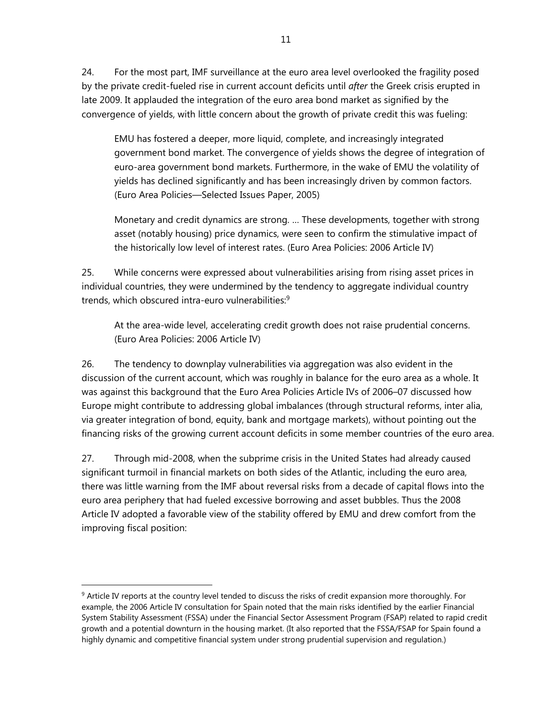24. For the most part, IMF surveillance at the euro area level overlooked the fragility posed by the private credit-fueled rise in current account deficits until *after* the Greek crisis erupted in late 2009. It applauded the integration of the euro area bond market as signified by the convergence of yields, with little concern about the growth of private credit this was fueling:

EMU has fostered a deeper, more liquid, complete, and increasingly integrated government bond market. The convergence of yields shows the degree of integration of euro-area government bond markets. Furthermore, in the wake of EMU the volatility of yields has declined significantly and has been increasingly driven by common factors. (Euro Area Policies—Selected Issues Paper, 2005)

Monetary and credit dynamics are strong. … These developments, together with strong asset (notably housing) price dynamics, were seen to confirm the stimulative impact of the historically low level of interest rates. (Euro Area Policies: 2006 Article IV)

25. While concerns were expressed about vulnerabilities arising from rising asset prices in individual countries, they were undermined by the tendency to aggregate individual country trends, which obscured intra-euro vulnerabilities:<sup>9</sup>

At the area-wide level, accelerating credit growth does not raise prudential concerns. (Euro Area Policies: 2006 Article IV)

26. The tendency to downplay vulnerabilities via aggregation was also evident in the discussion of the current account, which was roughly in balance for the euro area as a whole. It was against this background that the Euro Area Policies Article IVs of 2006–07 discussed how Europe might contribute to addressing global imbalances (through structural reforms, inter alia, via greater integration of bond, equity, bank and mortgage markets), without pointing out the financing risks of the growing current account deficits in some member countries of the euro area.

27. Through mid-2008, when the subprime crisis in the United States had already caused significant turmoil in financial markets on both sides of the Atlantic, including the euro area, there was little warning from the IMF about reversal risks from a decade of capital flows into the euro area periphery that had fueled excessive borrowing and asset bubbles. Thus the 2008 Article IV adopted a favorable view of the stability offered by EMU and drew comfort from the improving fiscal position:

<sup>9</sup> Article IV reports at the country level tended to discuss the risks of credit expansion more thoroughly. For example, the 2006 Article IV consultation for Spain noted that the main risks identified by the earlier Financial System Stability Assessment (FSSA) under the Financial Sector Assessment Program (FSAP) related to rapid credit growth and a potential downturn in the housing market. (It also reported that the FSSA/FSAP for Spain found a highly dynamic and competitive financial system under strong prudential supervision and regulation.)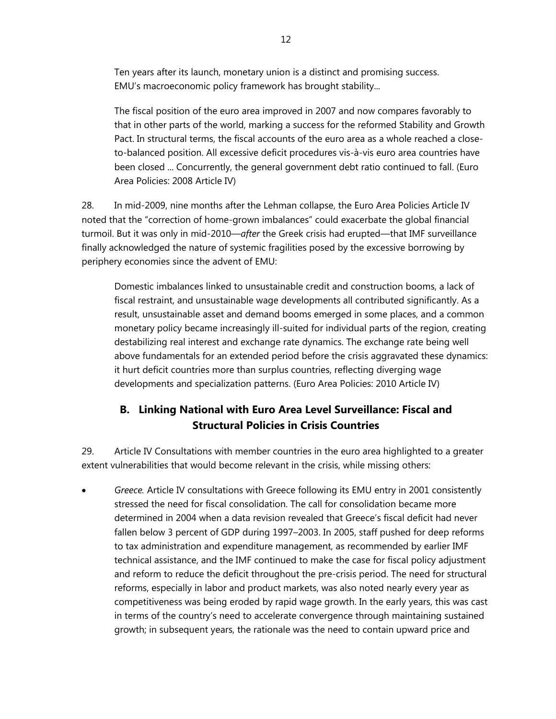Ten years after its launch, monetary union is a distinct and promising success. EMU's macroeconomic policy framework has brought stability...

The fiscal position of the euro area improved in 2007 and now compares favorably to that in other parts of the world, marking a success for the reformed Stability and Growth Pact. In structural terms, the fiscal accounts of the euro area as a whole reached a closeto-balanced position. All excessive deficit procedures vis-à-vis euro area countries have been closed ... Concurrently, the general government debt ratio continued to fall. (Euro Area Policies: 2008 Article IV)

28. In mid-2009, nine months after the Lehman collapse, the Euro Area Policies Article IV noted that the "correction of home-grown imbalances" could exacerbate the global financial turmoil. But it was only in mid-2010—*after* the Greek crisis had erupted—that IMF surveillance finally acknowledged the nature of systemic fragilities posed by the excessive borrowing by periphery economies since the advent of EMU:

Domestic imbalances linked to unsustainable credit and construction booms, a lack of fiscal restraint, and unsustainable wage developments all contributed significantly. As a result, unsustainable asset and demand booms emerged in some places, and a common monetary policy became increasingly ill-suited for individual parts of the region, creating destabilizing real interest and exchange rate dynamics. The exchange rate being well above fundamentals for an extended period before the crisis aggravated these dynamics: it hurt deficit countries more than surplus countries, reflecting diverging wage developments and specialization patterns. (Euro Area Policies: 2010 Article IV)

# **B. Linking National with Euro Area Level Surveillance: Fiscal and Structural Policies in Crisis Countries**

29. Article IV Consultations with member countries in the euro area highlighted to a greater extent vulnerabilities that would become relevant in the crisis, while missing others:

 *Greece.* Article IV consultations with Greece following its EMU entry in 2001 consistently stressed the need for fiscal consolidation. The call for consolidation became more determined in 2004 when a data revision revealed that Greece's fiscal deficit had never fallen below 3 percent of GDP during 1997–2003. In 2005, staff pushed for deep reforms to tax administration and expenditure management, as recommended by earlier IMF technical assistance, and the IMF continued to make the case for fiscal policy adjustment and reform to reduce the deficit throughout the pre-crisis period. The need for structural reforms, especially in labor and product markets, was also noted nearly every year as competitiveness was being eroded by rapid wage growth. In the early years, this was cast in terms of the country's need to accelerate convergence through maintaining sustained growth; in subsequent years, the rationale was the need to contain upward price and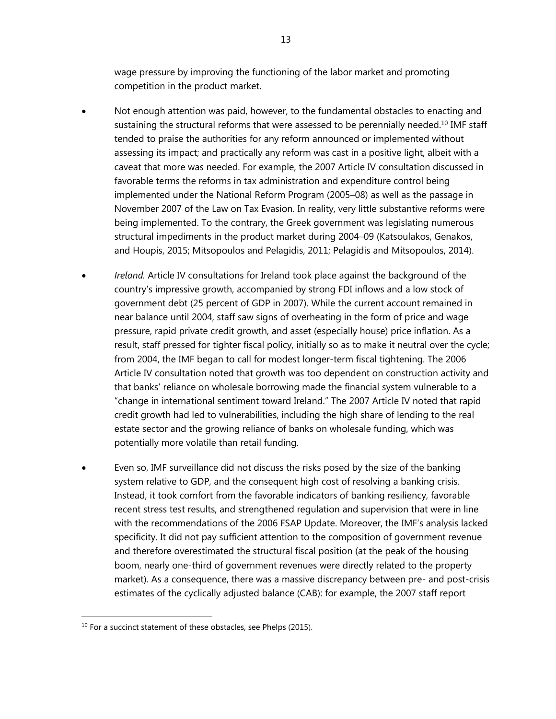wage pressure by improving the functioning of the labor market and promoting competition in the product market.

- Not enough attention was paid, however, to the fundamental obstacles to enacting and sustaining the structural reforms that were assessed to be perennially needed.<sup>10</sup> IMF staff tended to praise the authorities for any reform announced or implemented without assessing its impact; and practically any reform was cast in a positive light, albeit with a caveat that more was needed. For example, the 2007 Article IV consultation discussed in favorable terms the reforms in tax administration and expenditure control being implemented under the National Reform Program (2005–08) as well as the passage in November 2007 of the Law on Tax Evasion. In reality, very little substantive reforms were being implemented. To the contrary, the Greek government was legislating numerous structural impediments in the product market during 2004–09 (Katsoulakos, Genakos, and Houpis, 2015; Mitsopoulos and Pelagidis, 2011; Pelagidis and Mitsopoulos, 2014).
- *Ireland.* Article IV consultations for Ireland took place against the background of the country's impressive growth, accompanied by strong FDI inflows and a low stock of government debt (25 percent of GDP in 2007). While the current account remained in near balance until 2004, staff saw signs of overheating in the form of price and wage pressure, rapid private credit growth, and asset (especially house) price inflation. As a result, staff pressed for tighter fiscal policy, initially so as to make it neutral over the cycle; from 2004, the IMF began to call for modest longer-term fiscal tightening. The 2006 Article IV consultation noted that growth was too dependent on construction activity and that banks' reliance on wholesale borrowing made the financial system vulnerable to a "change in international sentiment toward Ireland." The 2007 Article IV noted that rapid credit growth had led to vulnerabilities, including the high share of lending to the real estate sector and the growing reliance of banks on wholesale funding, which was potentially more volatile than retail funding.
- Even so, IMF surveillance did not discuss the risks posed by the size of the banking system relative to GDP, and the consequent high cost of resolving a banking crisis. Instead, it took comfort from the favorable indicators of banking resiliency, favorable recent stress test results, and strengthened regulation and supervision that were in line with the recommendations of the 2006 FSAP Update. Moreover, the IMF's analysis lacked specificity. It did not pay sufficient attention to the composition of government revenue and therefore overestimated the structural fiscal position (at the peak of the housing boom, nearly one-third of government revenues were directly related to the property market). As a consequence, there was a massive discrepancy between pre- and post-crisis estimates of the cyclically adjusted balance (CAB): for example, the 2007 staff report

 $10$  For a succinct statement of these obstacles, see Phelps (2015).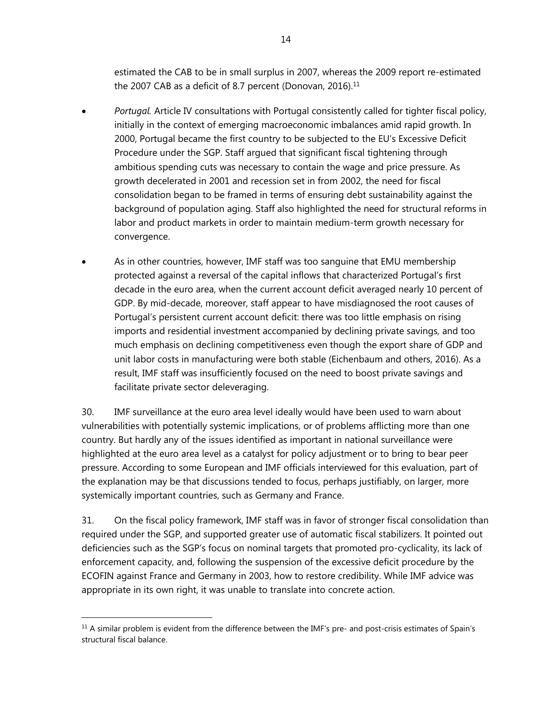estimated the CAB to be in small surplus in 2007, whereas the 2009 report re-estimated the 2007 CAB as a deficit of 8.7 percent (Donovan, 2016).<sup>11</sup>

- *Portugal.* Article IV consultations with Portugal consistently called for tighter fiscal policy, initially in the context of emerging macroeconomic imbalances amid rapid growth. In 2000, Portugal became the first country to be subjected to the EU's Excessive Deficit Procedure under the SGP. Staff argued that significant fiscal tightening through ambitious spending cuts was necessary to contain the wage and price pressure. As growth decelerated in 2001 and recession set in from 2002, the need for fiscal consolidation began to be framed in terms of ensuring debt sustainability against the background of population aging. Staff also highlighted the need for structural reforms in labor and product markets in order to maintain medium-term growth necessary for convergence.
- As in other countries, however, IMF staff was too sanguine that EMU membership protected against a reversal of the capital inflows that characterized Portugal's first decade in the euro area, when the current account deficit averaged nearly 10 percent of GDP. By mid-decade, moreover, staff appear to have misdiagnosed the root causes of Portugal's persistent current account deficit: there was too little emphasis on rising imports and residential investment accompanied by declining private savings, and too much emphasis on declining competitiveness even though the export share of GDP and unit labor costs in manufacturing were both stable (Eichenbaum and others, 2016). As a result, IMF staff was insufficiently focused on the need to boost private savings and facilitate private sector deleveraging.

30. IMF surveillance at the euro area level ideally would have been used to warn about vulnerabilities with potentially systemic implications, or of problems afflicting more than one country. But hardly any of the issues identified as important in national surveillance were highlighted at the euro area level as a catalyst for policy adjustment or to bring to bear peer pressure. According to some European and IMF officials interviewed for this evaluation, part of the explanation may be that discussions tended to focus, perhaps justifiably, on larger, more systemically important countries, such as Germany and France.

31. On the fiscal policy framework, IMF staff was in favor of stronger fiscal consolidation than required under the SGP, and supported greater use of automatic fiscal stabilizers. It pointed out deficiencies such as the SGP's focus on nominal targets that promoted pro-cyclicality, its lack of enforcement capacity, and, following the suspension of the excessive deficit procedure by the ECOFIN against France and Germany in 2003, how to restore credibility. While IMF advice was appropriate in its own right, it was unable to translate into concrete action.

 $11$  A similar problem is evident from the difference between the IMF's pre- and post-crisis estimates of Spain's structural fiscal balance.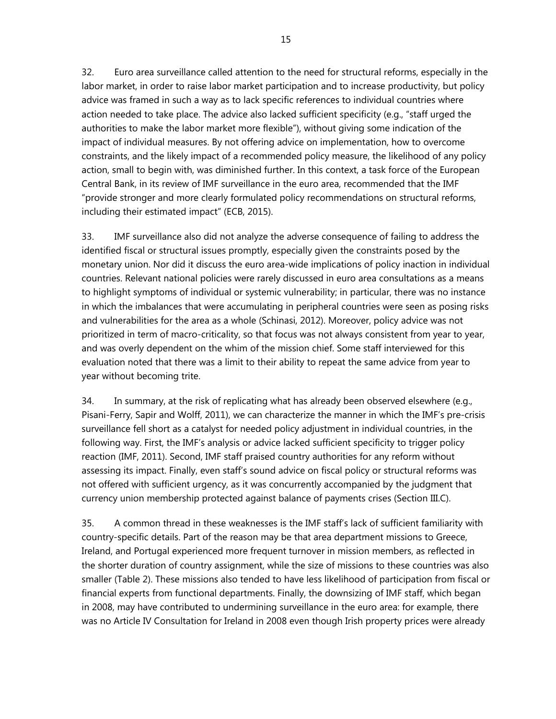32. Euro area surveillance called attention to the need for structural reforms, especially in the labor market, in order to raise labor market participation and to increase productivity, but policy advice was framed in such a way as to lack specific references to individual countries where action needed to take place. The advice also lacked sufficient specificity (e.g., "staff urged the authorities to make the labor market more flexible"), without giving some indication of the impact of individual measures. By not offering advice on implementation, how to overcome constraints, and the likely impact of a recommended policy measure, the likelihood of any policy action, small to begin with, was diminished further. In this context, a task force of the European Central Bank, in its review of IMF surveillance in the euro area, recommended that the IMF "provide stronger and more clearly formulated policy recommendations on structural reforms, including their estimated impact" (ECB, 2015).

33. IMF surveillance also did not analyze the adverse consequence of failing to address the identified fiscal or structural issues promptly, especially given the constraints posed by the monetary union. Nor did it discuss the euro area-wide implications of policy inaction in individual countries. Relevant national policies were rarely discussed in euro area consultations as a means to highlight symptoms of individual or systemic vulnerability; in particular, there was no instance in which the imbalances that were accumulating in peripheral countries were seen as posing risks and vulnerabilities for the area as a whole (Schinasi, 2012). Moreover, policy advice was not prioritized in term of macro-criticality, so that focus was not always consistent from year to year, and was overly dependent on the whim of the mission chief. Some staff interviewed for this evaluation noted that there was a limit to their ability to repeat the same advice from year to year without becoming trite.

34. In summary, at the risk of replicating what has already been observed elsewhere (e.g., Pisani-Ferry, Sapir and Wolff, 2011), we can characterize the manner in which the IMF's pre-crisis surveillance fell short as a catalyst for needed policy adjustment in individual countries, in the following way. First, the IMF's analysis or advice lacked sufficient specificity to trigger policy reaction (IMF, 2011). Second, IMF staff praised country authorities for any reform without assessing its impact. Finally, even staff's sound advice on fiscal policy or structural reforms was not offered with sufficient urgency, as it was concurrently accompanied by the judgment that currency union membership protected against balance of payments crises (Section III.C).

35. A common thread in these weaknesses is the IMF staff's lack of sufficient familiarity with country-specific details. Part of the reason may be that area department missions to Greece, Ireland, and Portugal experienced more frequent turnover in mission members, as reflected in the shorter duration of country assignment, while the size of missions to these countries was also smaller (Table 2). These missions also tended to have less likelihood of participation from fiscal or financial experts from functional departments. Finally, the downsizing of IMF staff, which began in 2008, may have contributed to undermining surveillance in the euro area: for example, there was no Article IV Consultation for Ireland in 2008 even though Irish property prices were already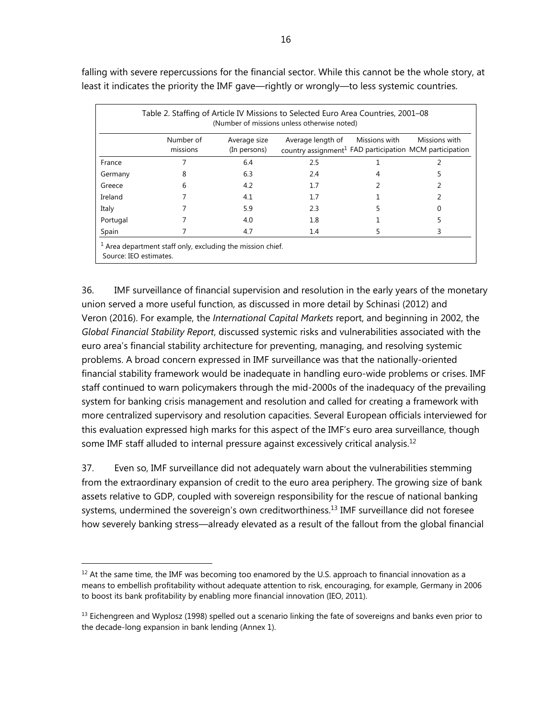| (Number of missions unless otherwise noted) |                       |                              |                                                                                                        |  |               |  |  |  |
|---------------------------------------------|-----------------------|------------------------------|--------------------------------------------------------------------------------------------------------|--|---------------|--|--|--|
|                                             | Number of<br>missions | Average size<br>(In persons) | Average length of Missions with<br>country assignment <sup>1</sup> FAD participation MCM participation |  | Missions with |  |  |  |
| France                                      |                       | 6.4                          | 2.5                                                                                                    |  |               |  |  |  |
| Germany                                     | 8                     | 6.3                          | 2.4                                                                                                    |  |               |  |  |  |
| Greece                                      | 6                     | 4.2                          | 1.7                                                                                                    |  |               |  |  |  |
| Ireland                                     |                       | 4.1                          | 1.7                                                                                                    |  |               |  |  |  |
| Italy                                       |                       | 5.9                          | 2.3                                                                                                    |  |               |  |  |  |
| Portugal                                    |                       | 4.0                          | 1.8                                                                                                    |  |               |  |  |  |
| Spain                                       |                       | 4.7                          | 1.4                                                                                                    |  | 3             |  |  |  |

falling with severe repercussions for the financial sector. While this cannot be the whole story, at least it indicates the priority the IMF gave—rightly or wrongly—to less systemic countries.

36. IMF surveillance of financial supervision and resolution in the early years of the monetary union served a more useful function, as discussed in more detail by Schinasi (2012) and Veron (2016). For example, the *International Capital Markets* report, and beginning in 2002, the *Global Financial Stability Report*, discussed systemic risks and vulnerabilities associated with the euro area's financial stability architecture for preventing, managing, and resolving systemic problems. A broad concern expressed in IMF surveillance was that the nationally-oriented financial stability framework would be inadequate in handling euro-wide problems or crises. IMF staff continued to warn policymakers through the mid-2000s of the inadequacy of the prevailing system for banking crisis management and resolution and called for creating a framework with more centralized supervisory and resolution capacities. Several European officials interviewed for this evaluation expressed high marks for this aspect of the IMF's euro area surveillance, though some IMF staff alluded to internal pressure against excessively critical analysis.<sup>12</sup>

37. Even so, IMF surveillance did not adequately warn about the vulnerabilities stemming from the extraordinary expansion of credit to the euro area periphery. The growing size of bank assets relative to GDP, coupled with sovereign responsibility for the rescue of national banking systems, undermined the sovereign's own creditworthiness.<sup>13</sup> IMF surveillance did not foresee how severely banking stress—already elevated as a result of the fallout from the global financial

 $12$  At the same time, the IMF was becoming too enamored by the U.S. approach to financial innovation as a means to embellish profitability without adequate attention to risk, encouraging, for example, Germany in 2006 to boost its bank profitability by enabling more financial innovation (IEO, 2011).

 $<sup>13</sup>$  Eichengreen and Wyplosz (1998) spelled out a scenario linking the fate of sovereigns and banks even prior to</sup> the decade-long expansion in bank lending (Annex 1).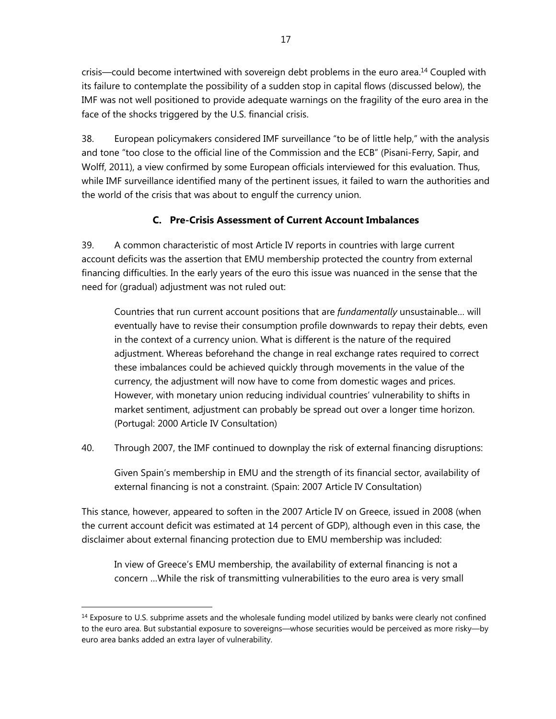crisis—could become intertwined with sovereign debt problems in the euro area.14 Coupled with its failure to contemplate the possibility of a sudden stop in capital flows (discussed below), the IMF was not well positioned to provide adequate warnings on the fragility of the euro area in the face of the shocks triggered by the U.S. financial crisis.

38. European policymakers considered IMF surveillance "to be of little help," with the analysis and tone "too close to the official line of the Commission and the ECB" (Pisani-Ferry, Sapir, and Wolff, 2011), a view confirmed by some European officials interviewed for this evaluation. Thus, while IMF surveillance identified many of the pertinent issues, it failed to warn the authorities and the world of the crisis that was about to engulf the currency union.

## **C. Pre-Crisis Assessment of Current Account Imbalances**

39. A common characteristic of most Article IV reports in countries with large current account deficits was the assertion that EMU membership protected the country from external financing difficulties. In the early years of the euro this issue was nuanced in the sense that the need for (gradual) adjustment was not ruled out:

Countries that run current account positions that are *fundamentally* unsustainable… will eventually have to revise their consumption profile downwards to repay their debts, even in the context of a currency union. What is different is the nature of the required adjustment. Whereas beforehand the change in real exchange rates required to correct these imbalances could be achieved quickly through movements in the value of the currency, the adjustment will now have to come from domestic wages and prices. However, with monetary union reducing individual countries' vulnerability to shifts in market sentiment, adjustment can probably be spread out over a longer time horizon. (Portugal: 2000 Article IV Consultation)

40. Through 2007, the IMF continued to downplay the risk of external financing disruptions:

Given Spain's membership in EMU and the strength of its financial sector, availability of external financing is not a constraint. (Spain: 2007 Article IV Consultation)

This stance, however, appeared to soften in the 2007 Article IV on Greece, issued in 2008 (when the current account deficit was estimated at 14 percent of GDP), although even in this case, the disclaimer about external financing protection due to EMU membership was included:

In view of Greece's EMU membership, the availability of external financing is not a concern …While the risk of transmitting vulnerabilities to the euro area is very small

<sup>&</sup>lt;sup>14</sup> Exposure to U.S. subprime assets and the wholesale funding model utilized by banks were clearly not confined to the euro area. But substantial exposure to sovereigns—whose securities would be perceived as more risky—by euro area banks added an extra layer of vulnerability.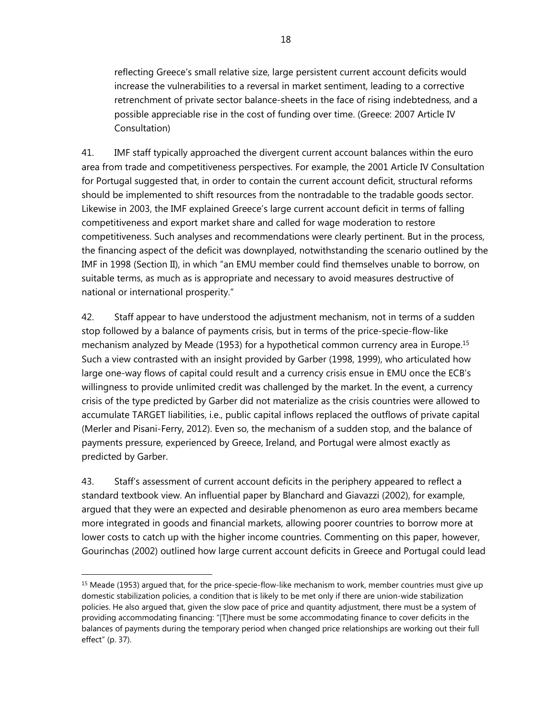reflecting Greece's small relative size, large persistent current account deficits would increase the vulnerabilities to a reversal in market sentiment, leading to a corrective retrenchment of private sector balance-sheets in the face of rising indebtedness, and a possible appreciable rise in the cost of funding over time. (Greece: 2007 Article IV Consultation)

41. IMF staff typically approached the divergent current account balances within the euro area from trade and competitiveness perspectives. For example, the 2001 Article IV Consultation for Portugal suggested that, in order to contain the current account deficit, structural reforms should be implemented to shift resources from the nontradable to the tradable goods sector. Likewise in 2003, the IMF explained Greece's large current account deficit in terms of falling competitiveness and export market share and called for wage moderation to restore competitiveness. Such analyses and recommendations were clearly pertinent. But in the process, the financing aspect of the deficit was downplayed, notwithstanding the scenario outlined by the IMF in 1998 (Section II), in which "an EMU member could find themselves unable to borrow, on suitable terms, as much as is appropriate and necessary to avoid measures destructive of national or international prosperity."

42. Staff appear to have understood the adjustment mechanism, not in terms of a sudden stop followed by a balance of payments crisis, but in terms of the price-specie-flow-like mechanism analyzed by Meade (1953) for a hypothetical common currency area in Europe.<sup>15</sup> Such a view contrasted with an insight provided by Garber (1998, 1999), who articulated how large one-way flows of capital could result and a currency crisis ensue in EMU once the ECB's willingness to provide unlimited credit was challenged by the market. In the event, a currency crisis of the type predicted by Garber did not materialize as the crisis countries were allowed to accumulate TARGET liabilities, i.e., public capital inflows replaced the outflows of private capital (Merler and Pisani-Ferry, 2012). Even so, the mechanism of a sudden stop, and the balance of payments pressure, experienced by Greece, Ireland, and Portugal were almost exactly as predicted by Garber.

43. Staff's assessment of current account deficits in the periphery appeared to reflect a standard textbook view. An influential paper by Blanchard and Giavazzi (2002), for example, argued that they were an expected and desirable phenomenon as euro area members became more integrated in goods and financial markets, allowing poorer countries to borrow more at lower costs to catch up with the higher income countries. Commenting on this paper, however, Gourinchas (2002) outlined how large current account deficits in Greece and Portugal could lead

<sup>&</sup>lt;sup>15</sup> Meade (1953) argued that, for the price-specie-flow-like mechanism to work, member countries must give up domestic stabilization policies, a condition that is likely to be met only if there are union-wide stabilization policies. He also argued that, given the slow pace of price and quantity adjustment, there must be a system of providing accommodating financing: "[T]here must be some accommodating finance to cover deficits in the balances of payments during the temporary period when changed price relationships are working out their full effect" (p. 37).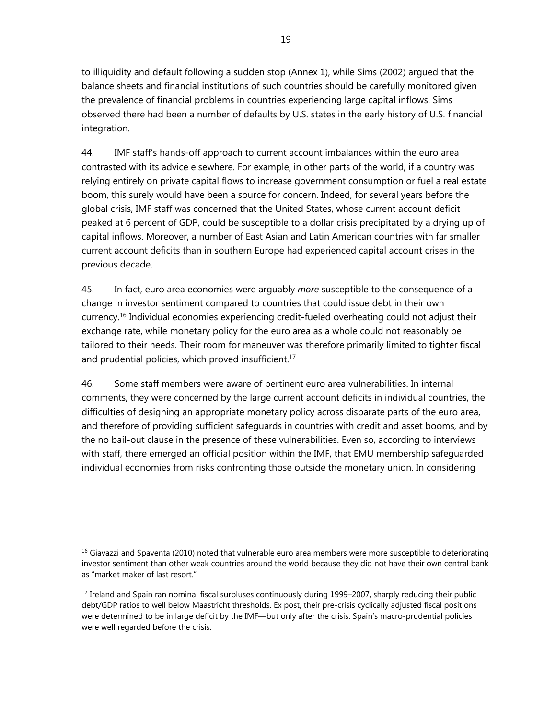to illiquidity and default following a sudden stop (Annex 1), while Sims (2002) argued that the balance sheets and financial institutions of such countries should be carefully monitored given the prevalence of financial problems in countries experiencing large capital inflows. Sims observed there had been a number of defaults by U.S. states in the early history of U.S. financial integration.

44. IMF staff's hands-off approach to current account imbalances within the euro area contrasted with its advice elsewhere. For example, in other parts of the world, if a country was relying entirely on private capital flows to increase government consumption or fuel a real estate boom, this surely would have been a source for concern. Indeed, for several years before the global crisis, IMF staff was concerned that the United States, whose current account deficit peaked at 6 percent of GDP, could be susceptible to a dollar crisis precipitated by a drying up of capital inflows. Moreover, a number of East Asian and Latin American countries with far smaller current account deficits than in southern Europe had experienced capital account crises in the previous decade.

45. In fact, euro area economies were arguably *more* susceptible to the consequence of a change in investor sentiment compared to countries that could issue debt in their own currency.16 Individual economies experiencing credit-fueled overheating could not adjust their exchange rate, while monetary policy for the euro area as a whole could not reasonably be tailored to their needs. Their room for maneuver was therefore primarily limited to tighter fiscal and prudential policies, which proved insufficient.<sup>17</sup>

46. Some staff members were aware of pertinent euro area vulnerabilities. In internal comments, they were concerned by the large current account deficits in individual countries, the difficulties of designing an appropriate monetary policy across disparate parts of the euro area, and therefore of providing sufficient safeguards in countries with credit and asset booms, and by the no bail-out clause in the presence of these vulnerabilities. Even so, according to interviews with staff, there emerged an official position within the IMF, that EMU membership safeguarded individual economies from risks confronting those outside the monetary union. In considering

 $<sup>16</sup>$  Giavazzi and Spaventa (2010) noted that vulnerable euro area members were more susceptible to deteriorating</sup> investor sentiment than other weak countries around the world because they did not have their own central bank as "market maker of last resort."

<sup>&</sup>lt;sup>17</sup> Ireland and Spain ran nominal fiscal surpluses continuously during 1999–2007, sharply reducing their public debt/GDP ratios to well below Maastricht thresholds. Ex post, their pre-crisis cyclically adjusted fiscal positions were determined to be in large deficit by the IMF—but only after the crisis. Spain's macro-prudential policies were well regarded before the crisis.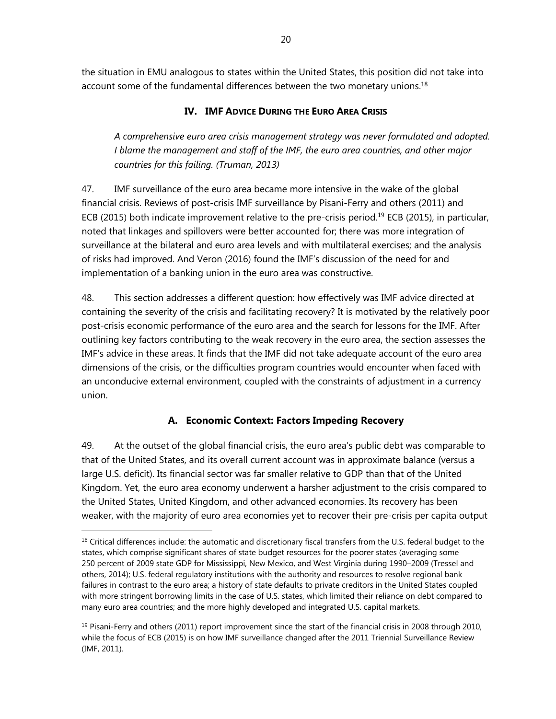the situation in EMU analogous to states within the United States, this position did not take into account some of the fundamental differences between the two monetary unions.<sup>18</sup>

### **IV. IMF ADVICE DURING THE EURO AREA CRISIS**

*A comprehensive euro area crisis management strategy was never formulated and adopted. I blame the management and staff of the IMF, the euro area countries, and other major countries for this failing. (Truman, 2013)* 

47. IMF surveillance of the euro area became more intensive in the wake of the global financial crisis. Reviews of post-crisis IMF surveillance by Pisani-Ferry and others (2011) and ECB (2015) both indicate improvement relative to the pre-crisis period.<sup>19</sup> ECB (2015), in particular, noted that linkages and spillovers were better accounted for; there was more integration of surveillance at the bilateral and euro area levels and with multilateral exercises; and the analysis of risks had improved. And Veron (2016) found the IMF's discussion of the need for and implementation of a banking union in the euro area was constructive.

48. This section addresses a different question: how effectively was IMF advice directed at containing the severity of the crisis and facilitating recovery? It is motivated by the relatively poor post-crisis economic performance of the euro area and the search for lessons for the IMF. After outlining key factors contributing to the weak recovery in the euro area, the section assesses the IMF's advice in these areas. It finds that the IMF did not take adequate account of the euro area dimensions of the crisis, or the difficulties program countries would encounter when faced with an unconducive external environment, coupled with the constraints of adjustment in a currency union.

### **A. Economic Context: Factors Impeding Recovery**

49. At the outset of the global financial crisis, the euro area's public debt was comparable to that of the United States, and its overall current account was in approximate balance (versus a large U.S. deficit). Its financial sector was far smaller relative to GDP than that of the United Kingdom. Yet, the euro area economy underwent a harsher adjustment to the crisis compared to the United States, United Kingdom, and other advanced economies. Its recovery has been weaker, with the majority of euro area economies yet to recover their pre-crisis per capita output

 $<sup>18</sup>$  Critical differences include: the automatic and discretionary fiscal transfers from the U.S. federal budget to the</sup> states, which comprise significant shares of state budget resources for the poorer states (averaging some 250 percent of 2009 state GDP for Mississippi, New Mexico, and West Virginia during 1990–2009 (Tressel and others, 2014); U.S. federal regulatory institutions with the authority and resources to resolve regional bank failures in contrast to the euro area; a history of state defaults to private creditors in the United States coupled with more stringent borrowing limits in the case of U.S. states, which limited their reliance on debt compared to many euro area countries; and the more highly developed and integrated U.S. capital markets.

 $19$  Pisani-Ferry and others (2011) report improvement since the start of the financial crisis in 2008 through 2010, while the focus of ECB (2015) is on how IMF surveillance changed after the 2011 Triennial Surveillance Review (IMF, 2011).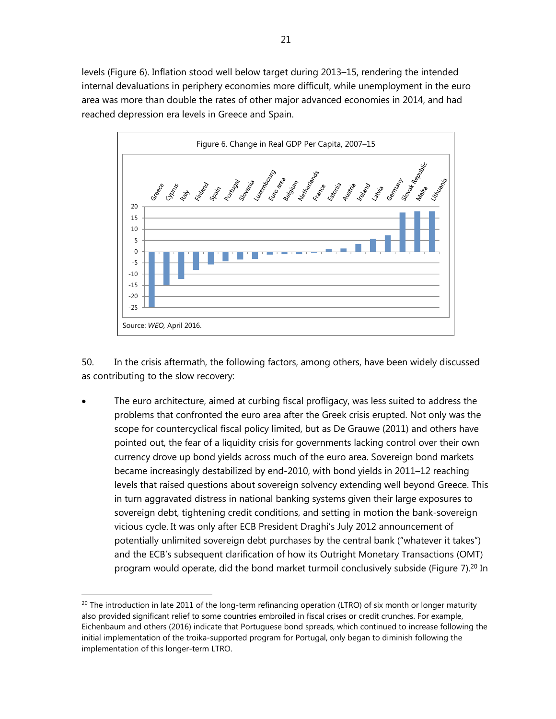levels (Figure 6). Inflation stood well below target during 2013–15, rendering the intended internal devaluations in periphery economies more difficult, while unemployment in the euro area was more than double the rates of other major advanced economies in 2014, and had reached depression era levels in Greece and Spain.



50. In the crisis aftermath, the following factors, among others, have been widely discussed as contributing to the slow recovery:

 The euro architecture, aimed at curbing fiscal profligacy, was less suited to address the problems that confronted the euro area after the Greek crisis erupted. Not only was the scope for countercyclical fiscal policy limited, but as De Grauwe (2011) and others have pointed out, the fear of a liquidity crisis for governments lacking control over their own currency drove up bond yields across much of the euro area. Sovereign bond markets became increasingly destabilized by end-2010, with bond yields in 2011–12 reaching levels that raised questions about sovereign solvency extending well beyond Greece. This in turn aggravated distress in national banking systems given their large exposures to sovereign debt, tightening credit conditions, and setting in motion the bank-sovereign vicious cycle. It was only after ECB President Draghi's July 2012 announcement of potentially unlimited sovereign debt purchases by the central bank ("whatever it takes") and the ECB's subsequent clarification of how its Outright Monetary Transactions (OMT) program would operate, did the bond market turmoil conclusively subside (Figure 7).<sup>20</sup> In

 $^{20}$  The introduction in late 2011 of the long-term refinancing operation (LTRO) of six month or longer maturity also provided significant relief to some countries embroiled in fiscal crises or credit crunches. For example, Eichenbaum and others (2016) indicate that Portuguese bond spreads, which continued to increase following the initial implementation of the troika-supported program for Portugal, only began to diminish following the implementation of this longer-term LTRO.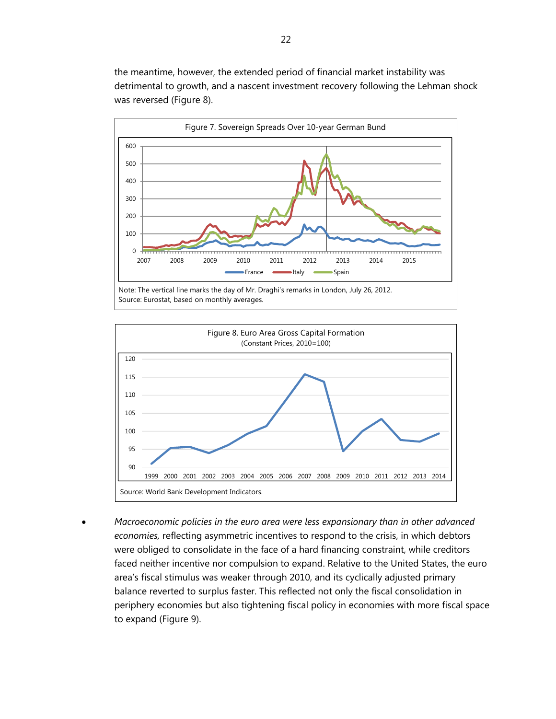the meantime, however, the extended period of financial market instability was detrimental to growth, and a nascent investment recovery following the Lehman shock was reversed (Figure 8).



Source: Eurostat, based on monthly averages.



 *Macroeconomic policies in the euro area were less expansionary than in other advanced economies,* reflecting asymmetric incentives to respond to the crisis, in which debtors were obliged to consolidate in the face of a hard financing constraint, while creditors faced neither incentive nor compulsion to expand. Relative to the United States, the euro area's fiscal stimulus was weaker through 2010, and its cyclically adjusted primary balance reverted to surplus faster. This reflected not only the fiscal consolidation in periphery economies but also tightening fiscal policy in economies with more fiscal space to expand (Figure 9).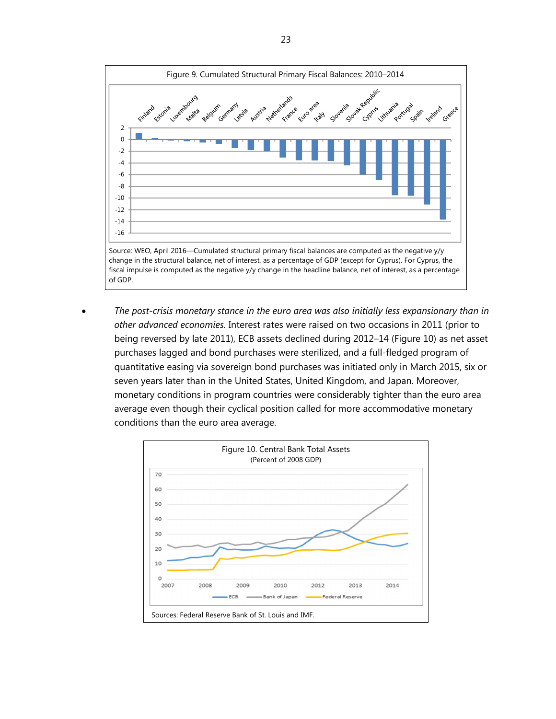

 *The post-crisis monetary stance in the euro area was also initially less expansionary than in other advanced economies.* Interest rates were raised on two occasions in 2011 (prior to being reversed by late 2011), ECB assets declined during 2012–14 (Figure 10) as net asset purchases lagged and bond purchases were sterilized, and a full-fledged program of quantitative easing via sovereign bond purchases was initiated only in March 2015, six or seven years later than in the United States, United Kingdom, and Japan. Moreover, monetary conditions in program countries were considerably tighter than the euro area average even though their cyclical position called for more accommodative monetary conditions than the euro area average.

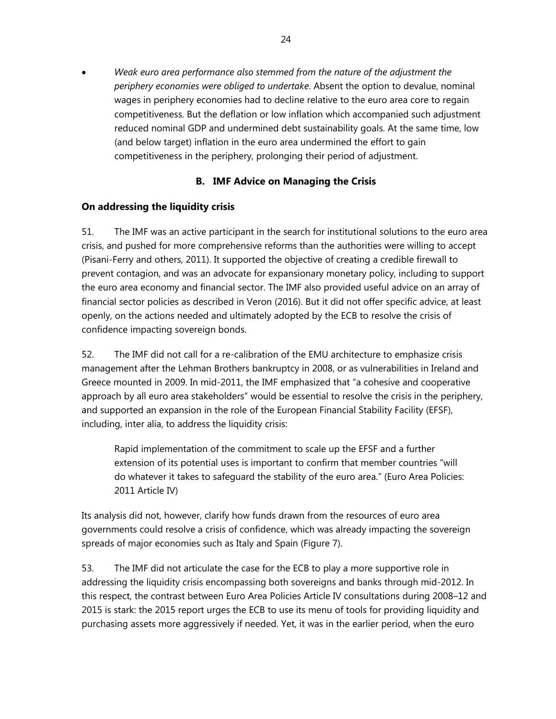*Weak euro area performance also stemmed from the nature of the adjustment the periphery economies were obliged to undertake*. Absent the option to devalue, nominal wages in periphery economies had to decline relative to the euro area core to regain competitiveness. But the deflation or low inflation which accompanied such adjustment reduced nominal GDP and undermined debt sustainability goals. At the same time, low (and below target) inflation in the euro area undermined the effort to gain competitiveness in the periphery, prolonging their period of adjustment.

### **B. IMF Advice on Managing the Crisis**

### **On addressing the liquidity crisis**

51. The IMF was an active participant in the search for institutional solutions to the euro area crisis, and pushed for more comprehensive reforms than the authorities were willing to accept (Pisani-Ferry and others, 2011). It supported the objective of creating a credible firewall to prevent contagion, and was an advocate for expansionary monetary policy, including to support the euro area economy and financial sector. The IMF also provided useful advice on an array of financial sector policies as described in Veron (2016). But it did not offer specific advice, at least openly, on the actions needed and ultimately adopted by the ECB to resolve the crisis of confidence impacting sovereign bonds.

52. The IMF did not call for a re-calibration of the EMU architecture to emphasize crisis management after the Lehman Brothers bankruptcy in 2008, or as vulnerabilities in Ireland and Greece mounted in 2009. In mid-2011, the IMF emphasized that "a cohesive and cooperative approach by all euro area stakeholders" would be essential to resolve the crisis in the periphery, and supported an expansion in the role of the European Financial Stability Facility (EFSF), including, inter alia, to address the liquidity crisis:

Rapid implementation of the commitment to scale up the EFSF and a further extension of its potential uses is important to confirm that member countries "will do whatever it takes to safeguard the stability of the euro area." (Euro Area Policies: 2011 Article IV)

Its analysis did not, however, clarify how funds drawn from the resources of euro area governments could resolve a crisis of confidence, which was already impacting the sovereign spreads of major economies such as Italy and Spain (Figure 7).

53. The IMF did not articulate the case for the ECB to play a more supportive role in addressing the liquidity crisis encompassing both sovereigns and banks through mid-2012. In this respect, the contrast between Euro Area Policies Article IV consultations during 2008–12 and 2015 is stark: the 2015 report urges the ECB to use its menu of tools for providing liquidity and purchasing assets more aggressively if needed. Yet, it was in the earlier period, when the euro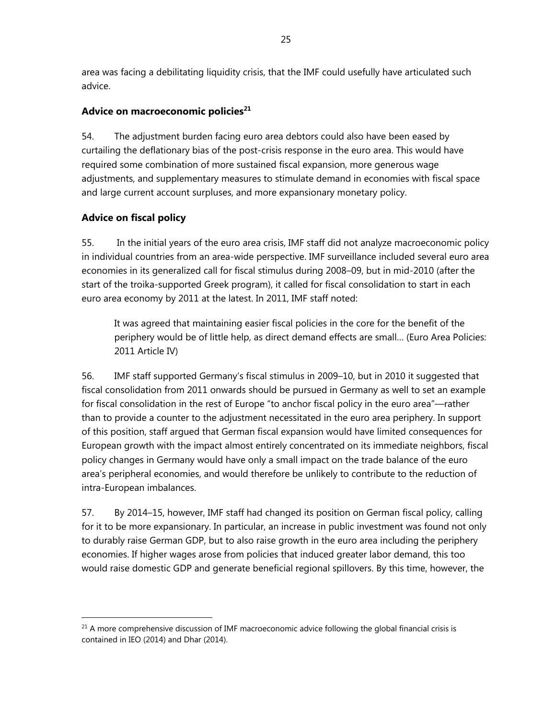area was facing a debilitating liquidity crisis, that the IMF could usefully have articulated such advice.

### **Advice on macroeconomic policies<sup>21</sup>**

54. The adjustment burden facing euro area debtors could also have been eased by curtailing the deflationary bias of the post-crisis response in the euro area. This would have required some combination of more sustained fiscal expansion, more generous wage adjustments, and supplementary measures to stimulate demand in economies with fiscal space and large current account surpluses, and more expansionary monetary policy.

### **Advice on fiscal policy**

 $\overline{a}$ 

55. In the initial years of the euro area crisis, IMF staff did not analyze macroeconomic policy in individual countries from an area-wide perspective. IMF surveillance included several euro area economies in its generalized call for fiscal stimulus during 2008–09, but in mid-2010 (after the start of the troika-supported Greek program), it called for fiscal consolidation to start in each euro area economy by 2011 at the latest. In 2011, IMF staff noted:

It was agreed that maintaining easier fiscal policies in the core for the benefit of the periphery would be of little help, as direct demand effects are small… (Euro Area Policies: 2011 Article IV)

56. IMF staff supported Germany's fiscal stimulus in 2009–10, but in 2010 it suggested that fiscal consolidation from 2011 onwards should be pursued in Germany as well to set an example for fiscal consolidation in the rest of Europe "to anchor fiscal policy in the euro area"—rather than to provide a counter to the adjustment necessitated in the euro area periphery. In support of this position, staff argued that German fiscal expansion would have limited consequences for European growth with the impact almost entirely concentrated on its immediate neighbors, fiscal policy changes in Germany would have only a small impact on the trade balance of the euro area's peripheral economies, and would therefore be unlikely to contribute to the reduction of intra-European imbalances.

57. By 2014–15, however, IMF staff had changed its position on German fiscal policy, calling for it to be more expansionary. In particular, an increase in public investment was found not only to durably raise German GDP, but to also raise growth in the euro area including the periphery economies. If higher wages arose from policies that induced greater labor demand, this too would raise domestic GDP and generate beneficial regional spillovers. By this time, however, the

 $21$  A more comprehensive discussion of IMF macroeconomic advice following the global financial crisis is contained in IEO (2014) and Dhar (2014).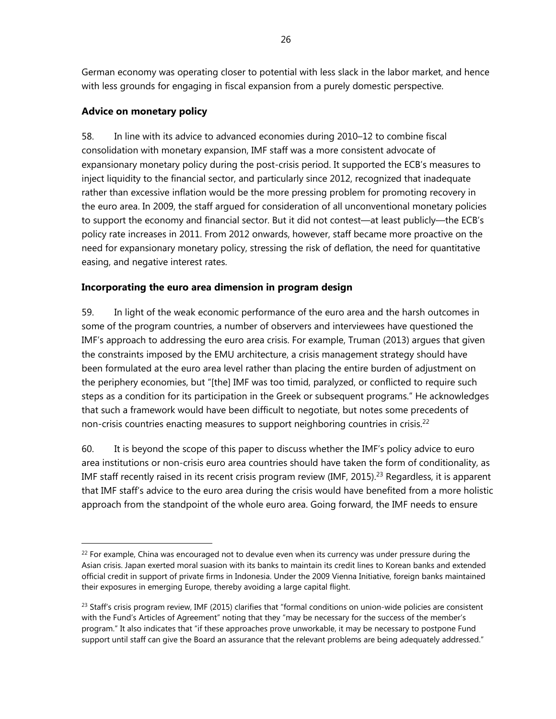German economy was operating closer to potential with less slack in the labor market, and hence with less grounds for engaging in fiscal expansion from a purely domestic perspective.

### **Advice on monetary policy**

 $\overline{a}$ 

58. In line with its advice to advanced economies during 2010–12 to combine fiscal consolidation with monetary expansion, IMF staff was a more consistent advocate of expansionary monetary policy during the post-crisis period. It supported the ECB's measures to inject liquidity to the financial sector, and particularly since 2012, recognized that inadequate rather than excessive inflation would be the more pressing problem for promoting recovery in the euro area. In 2009, the staff argued for consideration of all unconventional monetary policies to support the economy and financial sector. But it did not contest—at least publicly—the ECB's policy rate increases in 2011. From 2012 onwards, however, staff became more proactive on the need for expansionary monetary policy, stressing the risk of deflation, the need for quantitative easing, and negative interest rates.

### **Incorporating the euro area dimension in program design**

59. In light of the weak economic performance of the euro area and the harsh outcomes in some of the program countries, a number of observers and interviewees have questioned the IMF's approach to addressing the euro area crisis. For example, Truman (2013) argues that given the constraints imposed by the EMU architecture, a crisis management strategy should have been formulated at the euro area level rather than placing the entire burden of adjustment on the periphery economies, but "[the] IMF was too timid, paralyzed, or conflicted to require such steps as a condition for its participation in the Greek or subsequent programs." He acknowledges that such a framework would have been difficult to negotiate, but notes some precedents of non-crisis countries enacting measures to support neighboring countries in crisis.<sup>22</sup>

60. It is beyond the scope of this paper to discuss whether the IMF's policy advice to euro area institutions or non-crisis euro area countries should have taken the form of conditionality, as IMF staff recently raised in its recent crisis program review (IMF, 2015).<sup>23</sup> Regardless, it is apparent that IMF staff's advice to the euro area during the crisis would have benefited from a more holistic approach from the standpoint of the whole euro area. Going forward, the IMF needs to ensure

 $22$  For example, China was encouraged not to devalue even when its currency was under pressure during the Asian crisis. Japan exerted moral suasion with its banks to maintain its credit lines to Korean banks and extended official credit in support of private firms in Indonesia. Under the 2009 Vienna Initiative, foreign banks maintained their exposures in emerging Europe, thereby avoiding a large capital flight.

 $^{23}$  Staff's crisis program review, IMF (2015) clarifies that "formal conditions on union-wide policies are consistent with the Fund's Articles of Agreement" noting that they "may be necessary for the success of the member's program." It also indicates that "if these approaches prove unworkable, it may be necessary to postpone Fund support until staff can give the Board an assurance that the relevant problems are being adequately addressed."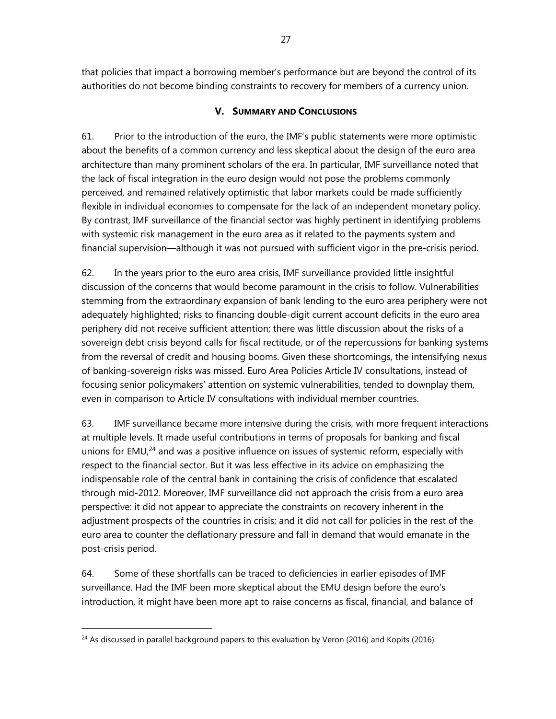that policies that impact a borrowing member's performance but are beyond the control of its authorities do not become binding constraints to recovery for members of a currency union.

### **V. SUMMARY AND CONCLUSIONS**

61. Prior to the introduction of the euro, the IMF's public statements were more optimistic about the benefits of a common currency and less skeptical about the design of the euro area architecture than many prominent scholars of the era. In particular, IMF surveillance noted that the lack of fiscal integration in the euro design would not pose the problems commonly perceived, and remained relatively optimistic that labor markets could be made sufficiently flexible in individual economies to compensate for the lack of an independent monetary policy. By contrast, IMF surveillance of the financial sector was highly pertinent in identifying problems with systemic risk management in the euro area as it related to the payments system and financial supervision—although it was not pursued with sufficient vigor in the pre-crisis period.

62. In the years prior to the euro area crisis, IMF surveillance provided little insightful discussion of the concerns that would become paramount in the crisis to follow. Vulnerabilities stemming from the extraordinary expansion of bank lending to the euro area periphery were not adequately highlighted; risks to financing double-digit current account deficits in the euro area periphery did not receive sufficient attention; there was little discussion about the risks of a sovereign debt crisis beyond calls for fiscal rectitude, or of the repercussions for banking systems from the reversal of credit and housing booms. Given these shortcomings, the intensifying nexus of banking-sovereign risks was missed. Euro Area Policies Article IV consultations, instead of focusing senior policymakers' attention on systemic vulnerabilities, tended to downplay them, even in comparison to Article IV consultations with individual member countries.

63. IMF surveillance became more intensive during the crisis, with more frequent interactions at multiple levels. It made useful contributions in terms of proposals for banking and fiscal unions for  $EMU<sub>1</sub><sup>24</sup>$  and was a positive influence on issues of systemic reform, especially with respect to the financial sector. But it was less effective in its advice on emphasizing the indispensable role of the central bank in containing the crisis of confidence that escalated through mid-2012. Moreover, IMF surveillance did not approach the crisis from a euro area perspective: it did not appear to appreciate the constraints on recovery inherent in the adjustment prospects of the countries in crisis; and it did not call for policies in the rest of the euro area to counter the deflationary pressure and fall in demand that would emanate in the post-crisis period.

64. Some of these shortfalls can be traced to deficiencies in earlier episodes of IMF surveillance. Had the IMF been more skeptical about the EMU design before the euro's introduction, it might have been more apt to raise concerns as fiscal, financial, and balance of

<sup>&</sup>lt;sup>24</sup> As discussed in parallel background papers to this evaluation by Veron (2016) and Kopits (2016).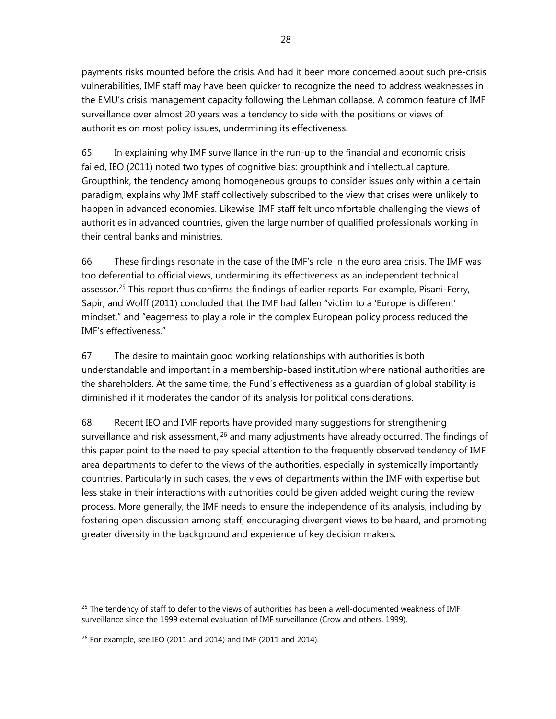payments risks mounted before the crisis. And had it been more concerned about such pre-crisis vulnerabilities, IMF staff may have been quicker to recognize the need to address weaknesses in the EMU's crisis management capacity following the Lehman collapse. A common feature of IMF surveillance over almost 20 years was a tendency to side with the positions or views of authorities on most policy issues, undermining its effectiveness.

65. In explaining why IMF surveillance in the run-up to the financial and economic crisis failed, IEO (2011) noted two types of cognitive bias: groupthink and intellectual capture. Groupthink, the tendency among homogeneous groups to consider issues only within a certain paradigm, explains why IMF staff collectively subscribed to the view that crises were unlikely to happen in advanced economies. Likewise, IMF staff felt uncomfortable challenging the views of authorities in advanced countries, given the large number of qualified professionals working in their central banks and ministries.

66. These findings resonate in the case of the IMF's role in the euro area crisis. The IMF was too deferential to official views, undermining its effectiveness as an independent technical assessor.<sup>25</sup> This report thus confirms the findings of earlier reports. For example, Pisani-Ferry, Sapir, and Wolff (2011) concluded that the IMF had fallen "victim to a 'Europe is different' mindset," and "eagerness to play a role in the complex European policy process reduced the IMF's effectiveness."

67. The desire to maintain good working relationships with authorities is both understandable and important in a membership-based institution where national authorities are the shareholders. At the same time, the Fund's effectiveness as a guardian of global stability is diminished if it moderates the candor of its analysis for political considerations.

68. Recent IEO and IMF reports have provided many suggestions for strengthening surveillance and risk assessment, <sup>26</sup> and many adjustments have already occurred. The findings of this paper point to the need to pay special attention to the frequently observed tendency of IMF area departments to defer to the views of the authorities, especially in systemically importantly countries. Particularly in such cases, the views of departments within the IMF with expertise but less stake in their interactions with authorities could be given added weight during the review process. More generally, the IMF needs to ensure the independence of its analysis, including by fostering open discussion among staff, encouraging divergent views to be heard, and promoting greater diversity in the background and experience of key decision makers.

 $25$  The tendency of staff to defer to the views of authorities has been a well-documented weakness of IMF surveillance since the 1999 external evaluation of IMF surveillance (Crow and others, 1999).

 $26$  For example, see IEO (2011 and 2014) and IMF (2011 and 2014).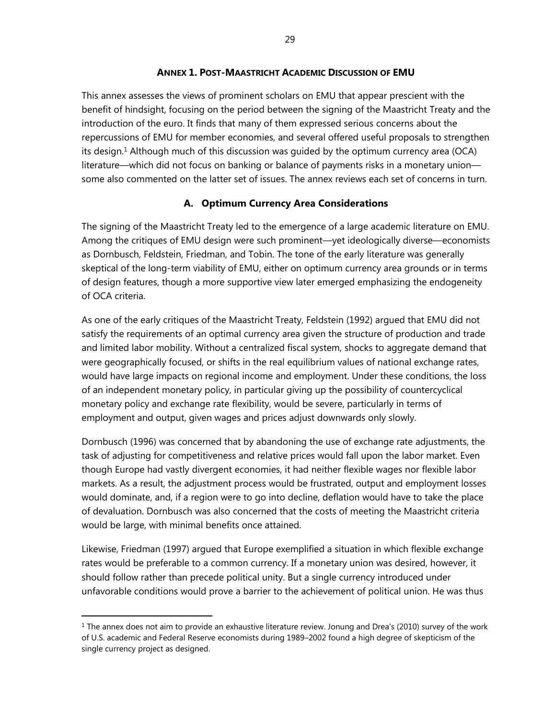#### **ANNEX 1. POST-MAASTRICHT ACADEMIC DISCUSSION OF EMU**

This annex assesses the views of prominent scholars on EMU that appear prescient with the benefit of hindsight, focusing on the period between the signing of the Maastricht Treaty and the introduction of the euro. It finds that many of them expressed serious concerns about the repercussions of EMU for member economies, and several offered useful proposals to strengthen its design.<sup>1</sup> Although much of this discussion was quided by the optimum currency area (OCA) literature—which did not focus on banking or balance of payments risks in a monetary union some also commented on the latter set of issues. The annex reviews each set of concerns in turn.

#### **A. Optimum Currency Area Considerations**

The signing of the Maastricht Treaty led to the emergence of a large academic literature on EMU. Among the critiques of EMU design were such prominent—yet ideologically diverse—economists as Dornbusch, Feldstein, Friedman, and Tobin. The tone of the early literature was generally skeptical of the long-term viability of EMU, either on optimum currency area grounds or in terms of design features, though a more supportive view later emerged emphasizing the endogeneity of OCA criteria.

As one of the early critiques of the Maastricht Treaty, Feldstein (1992) argued that EMU did not satisfy the requirements of an optimal currency area given the structure of production and trade and limited labor mobility. Without a centralized fiscal system, shocks to aggregate demand that were geographically focused, or shifts in the real equilibrium values of national exchange rates, would have large impacts on regional income and employment. Under these conditions, the loss of an independent monetary policy, in particular giving up the possibility of countercyclical monetary policy and exchange rate flexibility, would be severe, particularly in terms of employment and output, given wages and prices adjust downwards only slowly.

Dornbusch (1996) was concerned that by abandoning the use of exchange rate adjustments, the task of adjusting for competitiveness and relative prices would fall upon the labor market. Even though Europe had vastly divergent economies, it had neither flexible wages nor flexible labor markets. As a result, the adjustment process would be frustrated, output and employment losses would dominate, and, if a region were to go into decline, deflation would have to take the place of devaluation. Dornbusch was also concerned that the costs of meeting the Maastricht criteria would be large, with minimal benefits once attained.

Likewise, Friedman (1997) argued that Europe exemplified a situation in which flexible exchange rates would be preferable to a common currency. If a monetary union was desired, however, it should follow rather than precede political unity. But a single currency introduced under unfavorable conditions would prove a barrier to the achievement of political union. He was thus

 $1$  The annex does not aim to provide an exhaustive literature review. Jonung and Drea's (2010) survey of the work of U.S. academic and Federal Reserve economists during 1989–2002 found a high degree of skepticism of the single currency project as designed.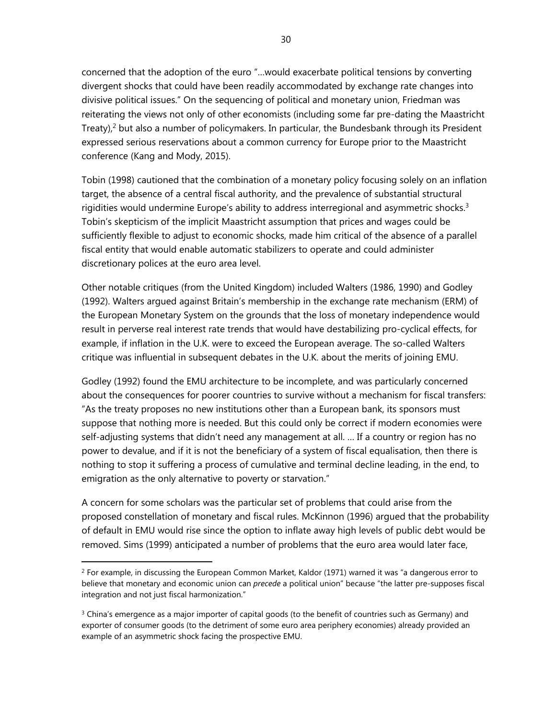concerned that the adoption of the euro "…would exacerbate political tensions by converting divergent shocks that could have been readily accommodated by exchange rate changes into divisive political issues." On the sequencing of political and monetary union, Friedman was reiterating the views not only of other economists (including some far pre-dating the Maastricht Treaty), $^2$  but also a number of policymakers. In particular, the Bundesbank through its President expressed serious reservations about a common currency for Europe prior to the Maastricht conference (Kang and Mody, 2015).

Tobin (1998) cautioned that the combination of a monetary policy focusing solely on an inflation target, the absence of a central fiscal authority, and the prevalence of substantial structural rigidities would undermine Europe's ability to address interregional and asymmetric shocks.<sup>3</sup> Tobin's skepticism of the implicit Maastricht assumption that prices and wages could be sufficiently flexible to adjust to economic shocks, made him critical of the absence of a parallel fiscal entity that would enable automatic stabilizers to operate and could administer discretionary polices at the euro area level.

Other notable critiques (from the United Kingdom) included Walters (1986, 1990) and Godley (1992). Walters argued against Britain's membership in the exchange rate mechanism (ERM) of the European Monetary System on the grounds that the loss of monetary independence would result in perverse real interest rate trends that would have destabilizing pro-cyclical effects, for example, if inflation in the U.K. were to exceed the European average. The so-called Walters critique was influential in subsequent debates in the U.K. about the merits of joining EMU.

Godley (1992) found the EMU architecture to be incomplete, and was particularly concerned about the consequences for poorer countries to survive without a mechanism for fiscal transfers: "As the treaty proposes no new institutions other than a European bank, its sponsors must suppose that nothing more is needed. But this could only be correct if modern economies were self-adjusting systems that didn't need any management at all. … If a country or region has no power to devalue, and if it is not the beneficiary of a system of fiscal equalisation, then there is nothing to stop it suffering a process of cumulative and terminal decline leading, in the end, to emigration as the only alternative to poverty or starvation."

A concern for some scholars was the particular set of problems that could arise from the proposed constellation of monetary and fiscal rules. McKinnon (1996) argued that the probability of default in EMU would rise since the option to inflate away high levels of public debt would be removed. Sims (1999) anticipated a number of problems that the euro area would later face,

 $<sup>2</sup>$  For example, in discussing the European Common Market, Kaldor (1971) warned it was "a dangerous error to</sup> believe that monetary and economic union can *precede* a political union" because "the latter pre-supposes fiscal integration and not just fiscal harmonization."

 $3$  China's emergence as a major importer of capital goods (to the benefit of countries such as Germany) and exporter of consumer goods (to the detriment of some euro area periphery economies) already provided an example of an asymmetric shock facing the prospective EMU.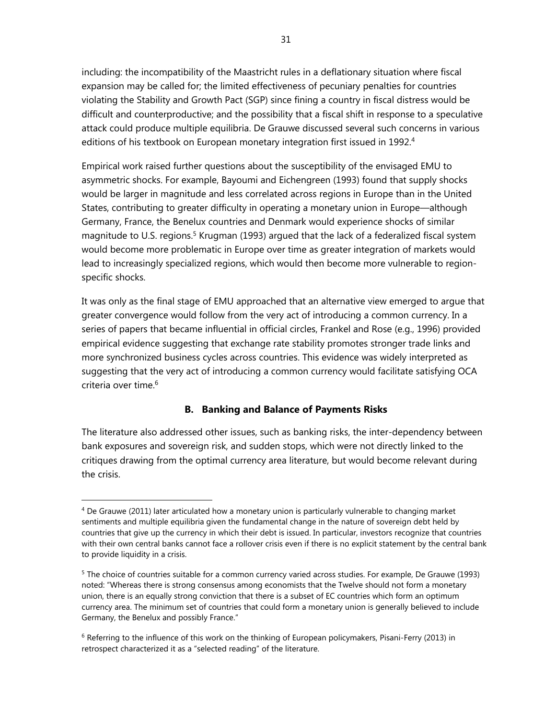including: the incompatibility of the Maastricht rules in a deflationary situation where fiscal expansion may be called for; the limited effectiveness of pecuniary penalties for countries violating the Stability and Growth Pact (SGP) since fining a country in fiscal distress would be difficult and counterproductive; and the possibility that a fiscal shift in response to a speculative attack could produce multiple equilibria. De Grauwe discussed several such concerns in various editions of his textbook on European monetary integration first issued in 1992.<sup>4</sup>

Empirical work raised further questions about the susceptibility of the envisaged EMU to asymmetric shocks. For example, Bayoumi and Eichengreen (1993) found that supply shocks would be larger in magnitude and less correlated across regions in Europe than in the United States, contributing to greater difficulty in operating a monetary union in Europe—although Germany, France, the Benelux countries and Denmark would experience shocks of similar magnitude to U.S. regions.<sup>5</sup> Krugman (1993) argued that the lack of a federalized fiscal system would become more problematic in Europe over time as greater integration of markets would lead to increasingly specialized regions, which would then become more vulnerable to regionspecific shocks.

It was only as the final stage of EMU approached that an alternative view emerged to argue that greater convergence would follow from the very act of introducing a common currency. In a series of papers that became influential in official circles, Frankel and Rose (e.g., 1996) provided empirical evidence suggesting that exchange rate stability promotes stronger trade links and more synchronized business cycles across countries. This evidence was widely interpreted as suggesting that the very act of introducing a common currency would facilitate satisfying OCA criteria over time.<sup>6</sup>

#### **B. Banking and Balance of Payments Risks**

The literature also addressed other issues, such as banking risks, the inter-dependency between bank exposures and sovereign risk, and sudden stops, which were not directly linked to the critiques drawing from the optimal currency area literature, but would become relevant during the crisis.

<sup>4</sup> De Grauwe (2011) later articulated how a monetary union is particularly vulnerable to changing market sentiments and multiple equilibria given the fundamental change in the nature of sovereign debt held by countries that give up the currency in which their debt is issued. In particular, investors recognize that countries with their own central banks cannot face a rollover crisis even if there is no explicit statement by the central bank to provide liquidity in a crisis.

<sup>&</sup>lt;sup>5</sup> The choice of countries suitable for a common currency varied across studies. For example, De Grauwe (1993) noted: "Whereas there is strong consensus among economists that the Twelve should not form a monetary union, there is an equally strong conviction that there is a subset of EC countries which form an optimum currency area. The minimum set of countries that could form a monetary union is generally believed to include Germany, the Benelux and possibly France."

 $6$  Referring to the influence of this work on the thinking of European policymakers, Pisani-Ferry (2013) in retrospect characterized it as a "selected reading" of the literature.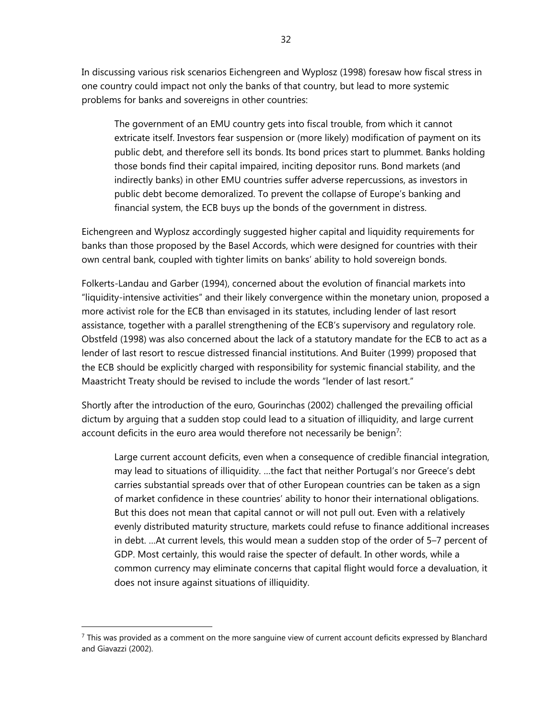In discussing various risk scenarios Eichengreen and Wyplosz (1998) foresaw how fiscal stress in one country could impact not only the banks of that country, but lead to more systemic problems for banks and sovereigns in other countries:

The government of an EMU country gets into fiscal trouble, from which it cannot extricate itself. Investors fear suspension or (more likely) modification of payment on its public debt, and therefore sell its bonds. Its bond prices start to plummet. Banks holding those bonds find their capital impaired, inciting depositor runs. Bond markets (and indirectly banks) in other EMU countries suffer adverse repercussions, as investors in public debt become demoralized. To prevent the collapse of Europe's banking and financial system, the ECB buys up the bonds of the government in distress.

Eichengreen and Wyplosz accordingly suggested higher capital and liquidity requirements for banks than those proposed by the Basel Accords, which were designed for countries with their own central bank, coupled with tighter limits on banks' ability to hold sovereign bonds.

Folkerts-Landau and Garber (1994), concerned about the evolution of financial markets into "liquidity-intensive activities" and their likely convergence within the monetary union, proposed a more activist role for the ECB than envisaged in its statutes, including lender of last resort assistance, together with a parallel strengthening of the ECB's supervisory and regulatory role. Obstfeld (1998) was also concerned about the lack of a statutory mandate for the ECB to act as a lender of last resort to rescue distressed financial institutions. And Buiter (1999) proposed that the ECB should be explicitly charged with responsibility for systemic financial stability, and the Maastricht Treaty should be revised to include the words "lender of last resort."

Shortly after the introduction of the euro, Gourinchas (2002) challenged the prevailing official dictum by arguing that a sudden stop could lead to a situation of illiquidity, and large current account deficits in the euro area would therefore not necessarily be benign<sup>7</sup>:

Large current account deficits, even when a consequence of credible financial integration, may lead to situations of illiquidity. …the fact that neither Portugal's nor Greece's debt carries substantial spreads over that of other European countries can be taken as a sign of market confidence in these countries' ability to honor their international obligations. But this does not mean that capital cannot or will not pull out. Even with a relatively evenly distributed maturity structure, markets could refuse to finance additional increases in debt. …At current levels, this would mean a sudden stop of the order of 5–7 percent of GDP. Most certainly, this would raise the specter of default. In other words, while a common currency may eliminate concerns that capital flight would force a devaluation, it does not insure against situations of illiquidity.

 $<sup>7</sup>$  This was provided as a comment on the more sanguine view of current account deficits expressed by Blanchard</sup> and Giavazzi (2002).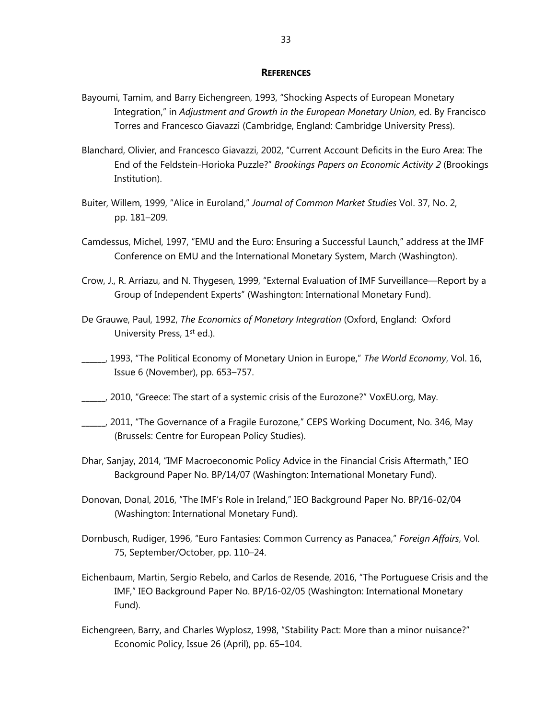#### **REFERENCES**

- Bayoumi, Tamim, and Barry Eichengreen, 1993, "Shocking Aspects of European Monetary Integration," in *Adjustment and Growth in the European Monetary Union*, ed. By Francisco Torres and Francesco Giavazzi (Cambridge, England: Cambridge University Press).
- Blanchard, Olivier, and Francesco Giavazzi, 2002, "Current Account Deficits in the Euro Area: The End of the Feldstein-Horioka Puzzle?" *Brookings Papers on Economic Activity 2* (Brookings Institution).
- Buiter, Willem, 1999, "Alice in Euroland," *Journal of Common Market Studies* Vol. 37, No. 2, pp. 181–209.
- Camdessus, Michel, 1997, "EMU and the Euro: Ensuring a Successful Launch," address at the IMF Conference on EMU and the International Monetary System, March (Washington).
- Crow, J., R. Arriazu, and N. Thygesen, 1999, "External Evaluation of IMF Surveillance—Report by a Group of Independent Experts" (Washington: International Monetary Fund).
- De Grauwe, Paul, 1992, *The Economics of Monetary Integration* (Oxford, England: Oxford University Press, 1<sup>st</sup> ed.).
- \_\_\_\_\_\_, 1993, "The Political Economy of Monetary Union in Europe," *The World Economy*, Vol. 16, Issue 6 (November), pp. 653–757.
- \_\_\_\_\_\_, 2010, "Greece: The start of a systemic crisis of the Eurozone?" VoxEU.org, May.
- \_\_\_\_\_\_, 2011, "The Governance of a Fragile Eurozone," CEPS Working Document, No. 346, May (Brussels: Centre for European Policy Studies).
- Dhar, Sanjay, 2014, "IMF Macroeconomic Policy Advice in the Financial Crisis Aftermath," IEO Background Paper No. BP/14/07 (Washington: International Monetary Fund).
- Donovan, Donal, 2016, "The IMF's Role in Ireland," IEO Background Paper No. BP/16-02/04 (Washington: International Monetary Fund).
- Dornbusch, Rudiger, 1996, "Euro Fantasies: Common Currency as Panacea," *Foreign Affairs*, Vol. 75, September/October, pp. 110–24.
- Eichenbaum, Martin, Sergio Rebelo, and Carlos de Resende, 2016, "The Portuguese Crisis and the IMF," IEO Background Paper No. BP/16-02/05 (Washington: International Monetary Fund).
- Eichengreen, Barry, and Charles Wyplosz, 1998, "Stability Pact: More than a minor nuisance?" Economic Policy, Issue 26 (April), pp. 65–104.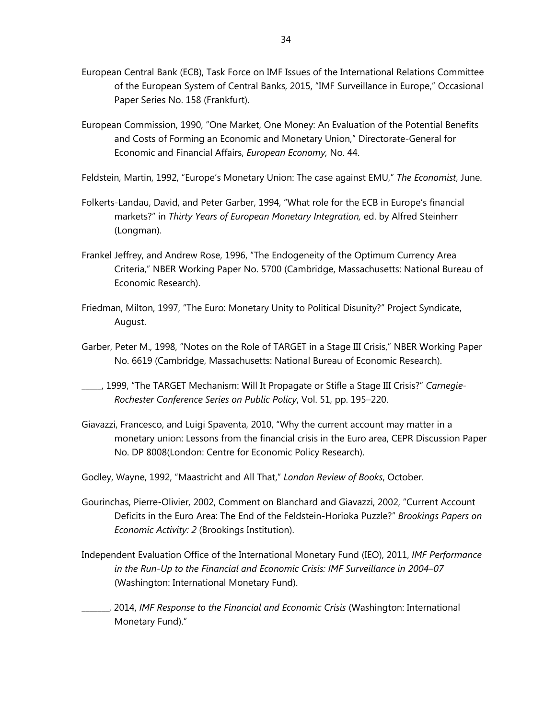- European Central Bank (ECB), Task Force on IMF Issues of the International Relations Committee of the European System of Central Banks, 2015, "IMF Surveillance in Europe," Occasional Paper Series No. 158 (Frankfurt).
- European Commission, 1990, "One Market, One Money: An Evaluation of the Potential Benefits and Costs of Forming an Economic and Monetary Union," Directorate-General for Economic and Financial Affairs, *European Economy,* No. 44.
- Feldstein, Martin, 1992, "Europe's Monetary Union: The case against EMU," *The Economist*, June.
- Folkerts-Landau, David, and Peter Garber, 1994, "What role for the ECB in Europe's financial markets?" in *Thirty Years of European Monetary Integration,* ed. by Alfred Steinherr (Longman).
- Frankel Jeffrey, and Andrew Rose, 1996, "The Endogeneity of the Optimum Currency Area Criteria," NBER Working Paper No. 5700 (Cambridge, Massachusetts: National Bureau of Economic Research).
- Friedman, Milton, 1997, "The Euro: Monetary Unity to Political Disunity?" Project Syndicate, August.
- Garber, Peter M., 1998, "Notes on the Role of TARGET in a Stage III Crisis," NBER Working Paper No. 6619 (Cambridge, Massachusetts: National Bureau of Economic Research).
- \_\_\_\_\_, 1999, "The TARGET Mechanism: Will It Propagate or Stifle a Stage III Crisis?" *Carnegie-Rochester Conference Series on Public Policy*, Vol. 51, pp. 195–220.
- Giavazzi, Francesco, and Luigi Spaventa, 2010, "Why the current account may matter in a monetary union: Lessons from the financial crisis in the Euro area, CEPR Discussion Paper No. DP 8008(London: Centre for Economic Policy Research).
- Godley, Wayne, 1992, "Maastricht and All That," *London Review of Books*, October.
- Gourinchas, Pierre-Olivier, 2002, Comment on Blanchard and Giavazzi, 2002, "Current Account Deficits in the Euro Area: The End of the Feldstein-Horioka Puzzle?" *Brookings Papers on Economic Activity: 2* (Brookings Institution).
- Independent Evaluation Office of the International Monetary Fund (IEO), 2011, *IMF Performance in the Run-Up to the Financial and Economic Crisis: IMF Surveillance in 2004–07*  (Washington: International Monetary Fund).
- \_\_\_\_\_\_\_, 2014, *IMF Response to the Financial and Economic Crisis* (Washington: International Monetary Fund)."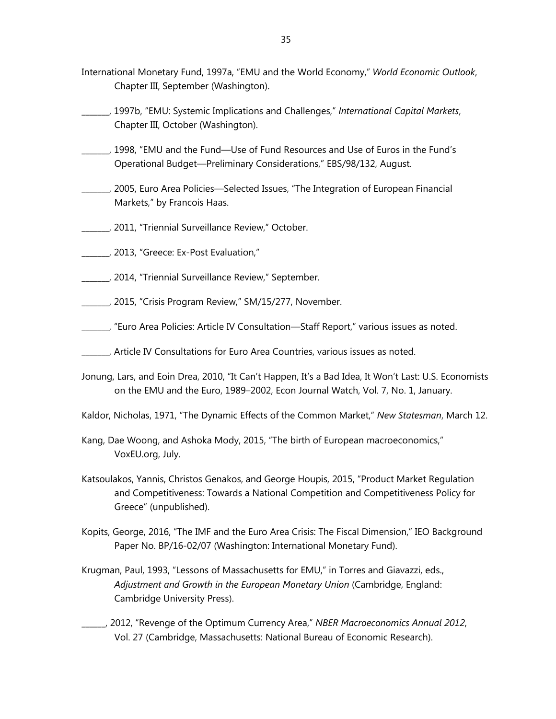- International Monetary Fund, 1997a, "EMU and the World Economy," *World Economic Outlook*, Chapter III, September (Washington).
- \_\_\_\_\_\_\_, 1997b, "EMU: Systemic Implications and Challenges," *International Capital Markets*, Chapter III, October (Washington).
- \_\_\_\_\_\_\_, 1998, "EMU and the Fund—Use of Fund Resources and Use of Euros in the Fund's Operational Budget—Preliminary Considerations," EBS/98/132, August.
- \_\_\_\_\_\_\_, 2005, Euro Area Policies—Selected Issues, "The Integration of European Financial Markets," by Francois Haas.
- \_\_\_\_\_\_\_, 2011, "Triennial Surveillance Review," October.
- \_\_\_\_\_\_\_, 2013, "Greece: Ex-Post Evaluation,"
- \_\_\_\_\_\_\_, 2014, "Triennial Surveillance Review," September.
- \_\_\_\_\_\_\_, 2015, "Crisis Program Review," SM/15/277, November.
- \_\_\_\_\_\_\_, "Euro Area Policies: Article IV Consultation—Staff Report," various issues as noted.
- \_\_\_\_\_\_\_, Article IV Consultations for Euro Area Countries, various issues as noted.
- Jonung, Lars, and Eoin Drea, 2010, "It Can't Happen, It's a Bad Idea, It Won't Last: U.S. Economists on the EMU and the Euro, 1989–2002, Econ Journal Watch, Vol. 7, No. 1, January.
- Kaldor, Nicholas, 1971, "The Dynamic Effects of the Common Market," *New Statesman*, March 12.
- Kang, Dae Woong, and Ashoka Mody, 2015, "The birth of European macroeconomics," VoxEU.org, July.
- Katsoulakos, Yannis, Christos Genakos, and George Houpis, 2015, "Product Market Regulation and Competitiveness: Towards a National Competition and Competitiveness Policy for Greece" (unpublished).
- Kopits, George, 2016, "The IMF and the Euro Area Crisis: The Fiscal Dimension," IEO Background Paper No. BP/16-02/07 (Washington: International Monetary Fund).
- Krugman, Paul, 1993, "Lessons of Massachusetts for EMU," in Torres and Giavazzi, eds., *Adjustment and Growth in the European Monetary Union* (Cambridge, England: Cambridge University Press).
- \_\_\_\_\_\_, 2012, "Revenge of the Optimum Currency Area," *NBER Macroeconomics Annual 2012*, Vol. 27 (Cambridge, Massachusetts: National Bureau of Economic Research).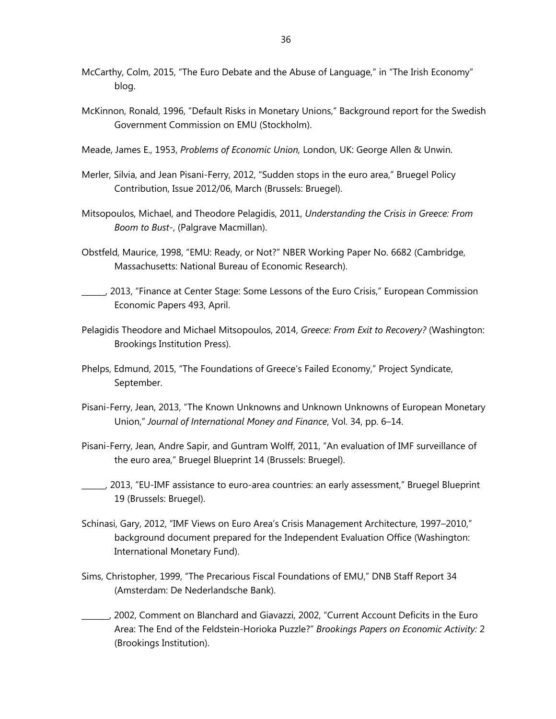- McCarthy, Colm, 2015, "The Euro Debate and the Abuse of Language," in "The Irish Economy" blog.
- McKinnon, Ronald, 1996, "Default Risks in Monetary Unions," Background report for the Swedish Government Commission on EMU (Stockholm).
- Meade, James E., 1953, *Problems of Economic Union,* London, UK: George Allen & Unwin.
- Merler, Silvia, and Jean Pisani-Ferry, 2012, "Sudden stops in the euro area," Bruegel Policy Contribution, Issue 2012/06, March (Brussels: Bruegel).
- Mitsopoulos, Michael, and Theodore Pelagidis, 2011, *Understanding the Crisis in Greece: From Boom to Bust-*, (Palgrave Macmillan).
- Obstfeld, Maurice, 1998, "EMU: Ready, or Not?" NBER Working Paper No. 6682 (Cambridge, Massachusetts: National Bureau of Economic Research).
- \_\_\_\_\_\_, 2013, "Finance at Center Stage: Some Lessons of the Euro Crisis," European Commission Economic Papers 493, April.
- Pelagidis Theodore and Michael Mitsopoulos, 2014, *Greece: From Exit to Recovery?* (Washington: Brookings Institution Press).
- Phelps, Edmund, 2015, "The Foundations of Greece's Failed Economy," Project Syndicate, September.
- Pisani-Ferry, Jean, 2013, "The Known Unknowns and Unknown Unknowns of European Monetary Union," *Journal of International Money and Finance*, Vol. 34, pp. 6–14.
- Pisani-Ferry, Jean, Andre Sapir, and Guntram Wolff, 2011, "An evaluation of IMF surveillance of the euro area," Bruegel Blueprint 14 (Brussels: Bruegel).
- \_\_\_\_\_\_, 2013, "EU-IMF assistance to euro-area countries: an early assessment," Bruegel Blueprint 19 (Brussels: Bruegel).
- Schinasi, Gary, 2012, "IMF Views on Euro Area's Crisis Management Architecture, 1997–2010," background document prepared for the Independent Evaluation Office (Washington: International Monetary Fund).
- Sims, Christopher, 1999, "The Precarious Fiscal Foundations of EMU," DNB Staff Report 34 (Amsterdam: De Nederlandsche Bank).
- \_\_\_\_\_\_\_, 2002, Comment on Blanchard and Giavazzi, 2002, "Current Account Deficits in the Euro Area: The End of the Feldstein-Horioka Puzzle?" *Brookings Papers on Economic Activity:* 2 (Brookings Institution).